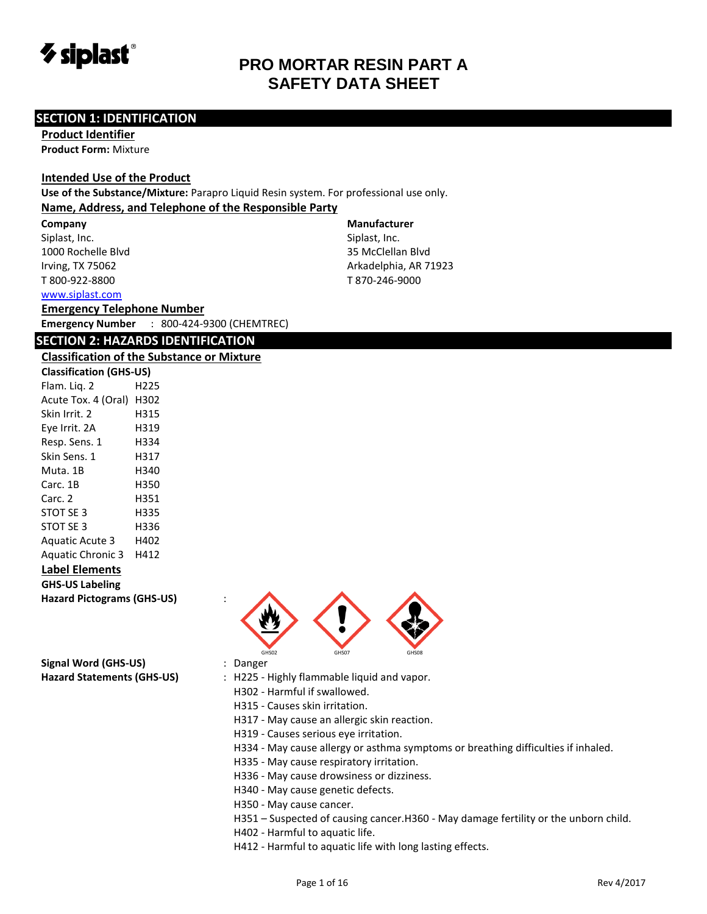

#### **SECTION 1: IDENTIFICATION**

**Product Identifier Product Form:** Mixture

#### **Intended Use of the Product**

**Use of the Substance/Mixture:** Parapro Liquid Resin system. For professional use only.

#### **Name, Address, and Telephone of the Responsible Party**

**Company**  Siplast, Inc. 1000 Rochelle Blvd Irving, TX 75062 T 800-922-8800

[www.siplast.com](../../../../AppData/Local/Temp/www.siplast.com)

#### **Emergency Telephone Number**

**Emergency Number** : 800-424-9300 (CHEMTREC)

#### **SECTION 2: HAZARDS IDENTIFICATION**

#### **Classification of the Substance or Mixture**

| Classification of the sabst       |      |  |  |
|-----------------------------------|------|--|--|
| <b>Classification (GHS-US)</b>    |      |  |  |
| Flam. Lig. 2                      | H225 |  |  |
| Acute Tox. 4 (Oral) H302          |      |  |  |
| Skin Irrit. 2                     | H315 |  |  |
| Eye Irrit. 2A                     | H319 |  |  |
| Resp. Sens. 1                     | H334 |  |  |
| Skin Sens. 1                      | H317 |  |  |
| Muta. 1B                          | H340 |  |  |
| Carc. 1B                          | H350 |  |  |
| Carc. 2                           | H351 |  |  |
| STOT SE 3                         | H335 |  |  |
| STOT SE 3                         | H336 |  |  |
| <b>Aquatic Acute 3</b>            | H402 |  |  |
| Aquatic Chronic 3 H412            |      |  |  |
| <b>Label Elements</b>             |      |  |  |
| <b>GHS-US Labeling</b>            |      |  |  |
| <b>Hazard Pictograms (GHS-US)</b> |      |  |  |

**Signal Word (GHS-US)** : Danger

#### **Manufacturer**

Siplast, Inc. 35 McClellan Blvd Arkadelphia, AR 71923 T 870-246-9000



- Hazard Statements (GHS-US) : H225 Highly flammable liquid and vapor.
	- H302 Harmful if swallowed.
	- H315 Causes skin irritation.
	- H317 May cause an allergic skin reaction.
	- H319 Causes serious eye irritation.
	- H334 May cause allergy or asthma symptoms or breathing difficulties if inhaled.
	- H335 May cause respiratory irritation.
	- H336 May cause drowsiness or dizziness.
	- H340 May cause genetic defects.
	- H350 May cause cancer.
	- H351 Suspected of causing cancer.H360 May damage fertility or the unborn child.
	- H402 Harmful to aquatic life.
	- H412 Harmful to aquatic life with long lasting effects.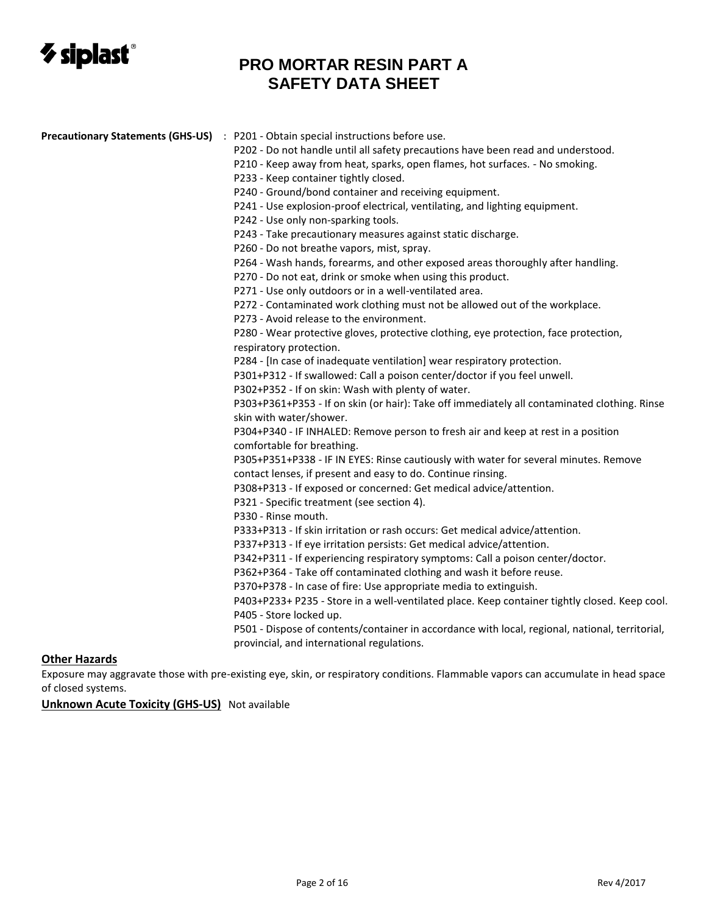

| Precautionary Statements (GHS-US) : P201 - Obtain special instructions before use.<br>P202 - Do not handle until all safety precautions have been read and understood.<br>P210 - Keep away from heat, sparks, open flames, hot surfaces. - No smoking.<br>P233 - Keep container tightly closed.<br>P240 - Ground/bond container and receiving equipment.<br>P241 - Use explosion-proof electrical, ventilating, and lighting equipment.<br>P242 - Use only non-sparking tools.<br>P243 - Take precautionary measures against static discharge.<br>P260 - Do not breathe vapors, mist, spray.<br>P264 - Wash hands, forearms, and other exposed areas thoroughly after handling.<br>P270 - Do not eat, drink or smoke when using this product.<br>P271 - Use only outdoors or in a well-ventilated area.<br>P272 - Contaminated work clothing must not be allowed out of the workplace.<br>P273 - Avoid release to the environment.<br>P280 - Wear protective gloves, protective clothing, eye protection, face protection,<br>respiratory protection.<br>P284 - [In case of inadequate ventilation] wear respiratory protection.<br>P301+P312 - If swallowed: Call a poison center/doctor if you feel unwell.<br>P302+P352 - If on skin: Wash with plenty of water.<br>P303+P361+P353 - If on skin (or hair): Take off immediately all contaminated clothing. Rinse<br>skin with water/shower.<br>P304+P340 - IF INHALED: Remove person to fresh air and keep at rest in a position<br>comfortable for breathing.<br>P305+P351+P338 - IF IN EYES: Rinse cautiously with water for several minutes. Remove<br>contact lenses, if present and easy to do. Continue rinsing.<br>P308+P313 - If exposed or concerned: Get medical advice/attention.<br>P321 - Specific treatment (see section 4).<br>P330 - Rinse mouth.<br>P333+P313 - If skin irritation or rash occurs: Get medical advice/attention.<br>P337+P313 - If eye irritation persists: Get medical advice/attention.<br>P342+P311 - If experiencing respiratory symptoms: Call a poison center/doctor.<br>P362+P364 - Take off contaminated clothing and wash it before reuse.<br>P370+P378 - In case of fire: Use appropriate media to extinguish.<br>P403+P233+ P235 - Store in a well-ventilated place. Keep container tightly closed. Keep cool.<br>P405 - Store locked up.<br>P501 - Dispose of contents/container in accordance with local, regional, national, territorial,<br>provincial, and international regulations. |  |
|-------------------------------------------------------------------------------------------------------------------------------------------------------------------------------------------------------------------------------------------------------------------------------------------------------------------------------------------------------------------------------------------------------------------------------------------------------------------------------------------------------------------------------------------------------------------------------------------------------------------------------------------------------------------------------------------------------------------------------------------------------------------------------------------------------------------------------------------------------------------------------------------------------------------------------------------------------------------------------------------------------------------------------------------------------------------------------------------------------------------------------------------------------------------------------------------------------------------------------------------------------------------------------------------------------------------------------------------------------------------------------------------------------------------------------------------------------------------------------------------------------------------------------------------------------------------------------------------------------------------------------------------------------------------------------------------------------------------------------------------------------------------------------------------------------------------------------------------------------------------------------------------------------------------------------------------------------------------------------------------------------------------------------------------------------------------------------------------------------------------------------------------------------------------------------------------------------------------------------------------------------------------------------------------------------------------------------------------------------------------------------------------------------------------------------------------------------------------------------------------|--|
|                                                                                                                                                                                                                                                                                                                                                                                                                                                                                                                                                                                                                                                                                                                                                                                                                                                                                                                                                                                                                                                                                                                                                                                                                                                                                                                                                                                                                                                                                                                                                                                                                                                                                                                                                                                                                                                                                                                                                                                                                                                                                                                                                                                                                                                                                                                                                                                                                                                                                           |  |
|                                                                                                                                                                                                                                                                                                                                                                                                                                                                                                                                                                                                                                                                                                                                                                                                                                                                                                                                                                                                                                                                                                                                                                                                                                                                                                                                                                                                                                                                                                                                                                                                                                                                                                                                                                                                                                                                                                                                                                                                                                                                                                                                                                                                                                                                                                                                                                                                                                                                                           |  |
|                                                                                                                                                                                                                                                                                                                                                                                                                                                                                                                                                                                                                                                                                                                                                                                                                                                                                                                                                                                                                                                                                                                                                                                                                                                                                                                                                                                                                                                                                                                                                                                                                                                                                                                                                                                                                                                                                                                                                                                                                                                                                                                                                                                                                                                                                                                                                                                                                                                                                           |  |
|                                                                                                                                                                                                                                                                                                                                                                                                                                                                                                                                                                                                                                                                                                                                                                                                                                                                                                                                                                                                                                                                                                                                                                                                                                                                                                                                                                                                                                                                                                                                                                                                                                                                                                                                                                                                                                                                                                                                                                                                                                                                                                                                                                                                                                                                                                                                                                                                                                                                                           |  |
|                                                                                                                                                                                                                                                                                                                                                                                                                                                                                                                                                                                                                                                                                                                                                                                                                                                                                                                                                                                                                                                                                                                                                                                                                                                                                                                                                                                                                                                                                                                                                                                                                                                                                                                                                                                                                                                                                                                                                                                                                                                                                                                                                                                                                                                                                                                                                                                                                                                                                           |  |
|                                                                                                                                                                                                                                                                                                                                                                                                                                                                                                                                                                                                                                                                                                                                                                                                                                                                                                                                                                                                                                                                                                                                                                                                                                                                                                                                                                                                                                                                                                                                                                                                                                                                                                                                                                                                                                                                                                                                                                                                                                                                                                                                                                                                                                                                                                                                                                                                                                                                                           |  |
|                                                                                                                                                                                                                                                                                                                                                                                                                                                                                                                                                                                                                                                                                                                                                                                                                                                                                                                                                                                                                                                                                                                                                                                                                                                                                                                                                                                                                                                                                                                                                                                                                                                                                                                                                                                                                                                                                                                                                                                                                                                                                                                                                                                                                                                                                                                                                                                                                                                                                           |  |
|                                                                                                                                                                                                                                                                                                                                                                                                                                                                                                                                                                                                                                                                                                                                                                                                                                                                                                                                                                                                                                                                                                                                                                                                                                                                                                                                                                                                                                                                                                                                                                                                                                                                                                                                                                                                                                                                                                                                                                                                                                                                                                                                                                                                                                                                                                                                                                                                                                                                                           |  |
|                                                                                                                                                                                                                                                                                                                                                                                                                                                                                                                                                                                                                                                                                                                                                                                                                                                                                                                                                                                                                                                                                                                                                                                                                                                                                                                                                                                                                                                                                                                                                                                                                                                                                                                                                                                                                                                                                                                                                                                                                                                                                                                                                                                                                                                                                                                                                                                                                                                                                           |  |
|                                                                                                                                                                                                                                                                                                                                                                                                                                                                                                                                                                                                                                                                                                                                                                                                                                                                                                                                                                                                                                                                                                                                                                                                                                                                                                                                                                                                                                                                                                                                                                                                                                                                                                                                                                                                                                                                                                                                                                                                                                                                                                                                                                                                                                                                                                                                                                                                                                                                                           |  |
|                                                                                                                                                                                                                                                                                                                                                                                                                                                                                                                                                                                                                                                                                                                                                                                                                                                                                                                                                                                                                                                                                                                                                                                                                                                                                                                                                                                                                                                                                                                                                                                                                                                                                                                                                                                                                                                                                                                                                                                                                                                                                                                                                                                                                                                                                                                                                                                                                                                                                           |  |
|                                                                                                                                                                                                                                                                                                                                                                                                                                                                                                                                                                                                                                                                                                                                                                                                                                                                                                                                                                                                                                                                                                                                                                                                                                                                                                                                                                                                                                                                                                                                                                                                                                                                                                                                                                                                                                                                                                                                                                                                                                                                                                                                                                                                                                                                                                                                                                                                                                                                                           |  |
|                                                                                                                                                                                                                                                                                                                                                                                                                                                                                                                                                                                                                                                                                                                                                                                                                                                                                                                                                                                                                                                                                                                                                                                                                                                                                                                                                                                                                                                                                                                                                                                                                                                                                                                                                                                                                                                                                                                                                                                                                                                                                                                                                                                                                                                                                                                                                                                                                                                                                           |  |
|                                                                                                                                                                                                                                                                                                                                                                                                                                                                                                                                                                                                                                                                                                                                                                                                                                                                                                                                                                                                                                                                                                                                                                                                                                                                                                                                                                                                                                                                                                                                                                                                                                                                                                                                                                                                                                                                                                                                                                                                                                                                                                                                                                                                                                                                                                                                                                                                                                                                                           |  |
|                                                                                                                                                                                                                                                                                                                                                                                                                                                                                                                                                                                                                                                                                                                                                                                                                                                                                                                                                                                                                                                                                                                                                                                                                                                                                                                                                                                                                                                                                                                                                                                                                                                                                                                                                                                                                                                                                                                                                                                                                                                                                                                                                                                                                                                                                                                                                                                                                                                                                           |  |
|                                                                                                                                                                                                                                                                                                                                                                                                                                                                                                                                                                                                                                                                                                                                                                                                                                                                                                                                                                                                                                                                                                                                                                                                                                                                                                                                                                                                                                                                                                                                                                                                                                                                                                                                                                                                                                                                                                                                                                                                                                                                                                                                                                                                                                                                                                                                                                                                                                                                                           |  |
|                                                                                                                                                                                                                                                                                                                                                                                                                                                                                                                                                                                                                                                                                                                                                                                                                                                                                                                                                                                                                                                                                                                                                                                                                                                                                                                                                                                                                                                                                                                                                                                                                                                                                                                                                                                                                                                                                                                                                                                                                                                                                                                                                                                                                                                                                                                                                                                                                                                                                           |  |
|                                                                                                                                                                                                                                                                                                                                                                                                                                                                                                                                                                                                                                                                                                                                                                                                                                                                                                                                                                                                                                                                                                                                                                                                                                                                                                                                                                                                                                                                                                                                                                                                                                                                                                                                                                                                                                                                                                                                                                                                                                                                                                                                                                                                                                                                                                                                                                                                                                                                                           |  |
|                                                                                                                                                                                                                                                                                                                                                                                                                                                                                                                                                                                                                                                                                                                                                                                                                                                                                                                                                                                                                                                                                                                                                                                                                                                                                                                                                                                                                                                                                                                                                                                                                                                                                                                                                                                                                                                                                                                                                                                                                                                                                                                                                                                                                                                                                                                                                                                                                                                                                           |  |
|                                                                                                                                                                                                                                                                                                                                                                                                                                                                                                                                                                                                                                                                                                                                                                                                                                                                                                                                                                                                                                                                                                                                                                                                                                                                                                                                                                                                                                                                                                                                                                                                                                                                                                                                                                                                                                                                                                                                                                                                                                                                                                                                                                                                                                                                                                                                                                                                                                                                                           |  |
|                                                                                                                                                                                                                                                                                                                                                                                                                                                                                                                                                                                                                                                                                                                                                                                                                                                                                                                                                                                                                                                                                                                                                                                                                                                                                                                                                                                                                                                                                                                                                                                                                                                                                                                                                                                                                                                                                                                                                                                                                                                                                                                                                                                                                                                                                                                                                                                                                                                                                           |  |
|                                                                                                                                                                                                                                                                                                                                                                                                                                                                                                                                                                                                                                                                                                                                                                                                                                                                                                                                                                                                                                                                                                                                                                                                                                                                                                                                                                                                                                                                                                                                                                                                                                                                                                                                                                                                                                                                                                                                                                                                                                                                                                                                                                                                                                                                                                                                                                                                                                                                                           |  |
|                                                                                                                                                                                                                                                                                                                                                                                                                                                                                                                                                                                                                                                                                                                                                                                                                                                                                                                                                                                                                                                                                                                                                                                                                                                                                                                                                                                                                                                                                                                                                                                                                                                                                                                                                                                                                                                                                                                                                                                                                                                                                                                                                                                                                                                                                                                                                                                                                                                                                           |  |
|                                                                                                                                                                                                                                                                                                                                                                                                                                                                                                                                                                                                                                                                                                                                                                                                                                                                                                                                                                                                                                                                                                                                                                                                                                                                                                                                                                                                                                                                                                                                                                                                                                                                                                                                                                                                                                                                                                                                                                                                                                                                                                                                                                                                                                                                                                                                                                                                                                                                                           |  |
|                                                                                                                                                                                                                                                                                                                                                                                                                                                                                                                                                                                                                                                                                                                                                                                                                                                                                                                                                                                                                                                                                                                                                                                                                                                                                                                                                                                                                                                                                                                                                                                                                                                                                                                                                                                                                                                                                                                                                                                                                                                                                                                                                                                                                                                                                                                                                                                                                                                                                           |  |
|                                                                                                                                                                                                                                                                                                                                                                                                                                                                                                                                                                                                                                                                                                                                                                                                                                                                                                                                                                                                                                                                                                                                                                                                                                                                                                                                                                                                                                                                                                                                                                                                                                                                                                                                                                                                                                                                                                                                                                                                                                                                                                                                                                                                                                                                                                                                                                                                                                                                                           |  |
|                                                                                                                                                                                                                                                                                                                                                                                                                                                                                                                                                                                                                                                                                                                                                                                                                                                                                                                                                                                                                                                                                                                                                                                                                                                                                                                                                                                                                                                                                                                                                                                                                                                                                                                                                                                                                                                                                                                                                                                                                                                                                                                                                                                                                                                                                                                                                                                                                                                                                           |  |
|                                                                                                                                                                                                                                                                                                                                                                                                                                                                                                                                                                                                                                                                                                                                                                                                                                                                                                                                                                                                                                                                                                                                                                                                                                                                                                                                                                                                                                                                                                                                                                                                                                                                                                                                                                                                                                                                                                                                                                                                                                                                                                                                                                                                                                                                                                                                                                                                                                                                                           |  |
|                                                                                                                                                                                                                                                                                                                                                                                                                                                                                                                                                                                                                                                                                                                                                                                                                                                                                                                                                                                                                                                                                                                                                                                                                                                                                                                                                                                                                                                                                                                                                                                                                                                                                                                                                                                                                                                                                                                                                                                                                                                                                                                                                                                                                                                                                                                                                                                                                                                                                           |  |
|                                                                                                                                                                                                                                                                                                                                                                                                                                                                                                                                                                                                                                                                                                                                                                                                                                                                                                                                                                                                                                                                                                                                                                                                                                                                                                                                                                                                                                                                                                                                                                                                                                                                                                                                                                                                                                                                                                                                                                                                                                                                                                                                                                                                                                                                                                                                                                                                                                                                                           |  |
|                                                                                                                                                                                                                                                                                                                                                                                                                                                                                                                                                                                                                                                                                                                                                                                                                                                                                                                                                                                                                                                                                                                                                                                                                                                                                                                                                                                                                                                                                                                                                                                                                                                                                                                                                                                                                                                                                                                                                                                                                                                                                                                                                                                                                                                                                                                                                                                                                                                                                           |  |
|                                                                                                                                                                                                                                                                                                                                                                                                                                                                                                                                                                                                                                                                                                                                                                                                                                                                                                                                                                                                                                                                                                                                                                                                                                                                                                                                                                                                                                                                                                                                                                                                                                                                                                                                                                                                                                                                                                                                                                                                                                                                                                                                                                                                                                                                                                                                                                                                                                                                                           |  |
|                                                                                                                                                                                                                                                                                                                                                                                                                                                                                                                                                                                                                                                                                                                                                                                                                                                                                                                                                                                                                                                                                                                                                                                                                                                                                                                                                                                                                                                                                                                                                                                                                                                                                                                                                                                                                                                                                                                                                                                                                                                                                                                                                                                                                                                                                                                                                                                                                                                                                           |  |
|                                                                                                                                                                                                                                                                                                                                                                                                                                                                                                                                                                                                                                                                                                                                                                                                                                                                                                                                                                                                                                                                                                                                                                                                                                                                                                                                                                                                                                                                                                                                                                                                                                                                                                                                                                                                                                                                                                                                                                                                                                                                                                                                                                                                                                                                                                                                                                                                                                                                                           |  |
|                                                                                                                                                                                                                                                                                                                                                                                                                                                                                                                                                                                                                                                                                                                                                                                                                                                                                                                                                                                                                                                                                                                                                                                                                                                                                                                                                                                                                                                                                                                                                                                                                                                                                                                                                                                                                                                                                                                                                                                                                                                                                                                                                                                                                                                                                                                                                                                                                                                                                           |  |
|                                                                                                                                                                                                                                                                                                                                                                                                                                                                                                                                                                                                                                                                                                                                                                                                                                                                                                                                                                                                                                                                                                                                                                                                                                                                                                                                                                                                                                                                                                                                                                                                                                                                                                                                                                                                                                                                                                                                                                                                                                                                                                                                                                                                                                                                                                                                                                                                                                                                                           |  |
|                                                                                                                                                                                                                                                                                                                                                                                                                                                                                                                                                                                                                                                                                                                                                                                                                                                                                                                                                                                                                                                                                                                                                                                                                                                                                                                                                                                                                                                                                                                                                                                                                                                                                                                                                                                                                                                                                                                                                                                                                                                                                                                                                                                                                                                                                                                                                                                                                                                                                           |  |

#### **Other Hazards**

Exposure may aggravate those with pre-existing eye, skin, or respiratory conditions. Flammable vapors can accumulate in head space of closed systems.

**Unknown Acute Toxicity (GHS-US)** Not available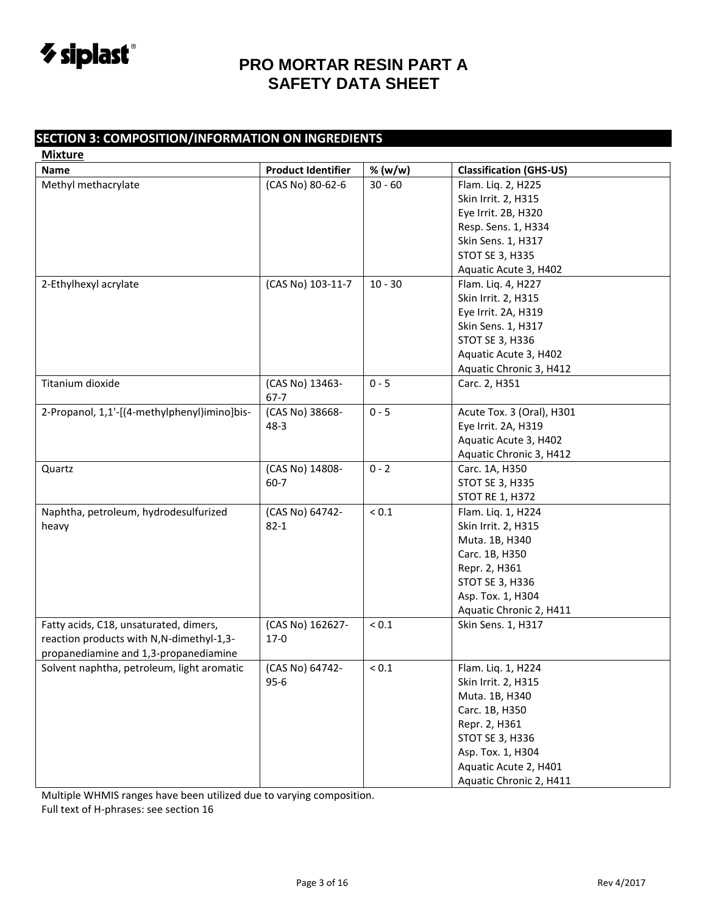

### **SECTION 3: COMPOSITION/INFORMATION ON INGREDIENTS**

| <b>Mixture</b>                               |                           |            |                                |
|----------------------------------------------|---------------------------|------------|--------------------------------|
| <b>Name</b>                                  | <b>Product Identifier</b> | % (w/w)    | <b>Classification (GHS-US)</b> |
| Methyl methacrylate                          | (CAS No) 80-62-6          | $30 - 60$  | Flam. Liq. 2, H225             |
|                                              |                           |            | Skin Irrit. 2, H315            |
|                                              |                           |            | Eye Irrit. 2B, H320            |
|                                              |                           |            | Resp. Sens. 1, H334            |
|                                              |                           |            | Skin Sens. 1, H317             |
|                                              |                           |            | <b>STOT SE 3, H335</b>         |
|                                              |                           |            | Aquatic Acute 3, H402          |
| 2-Ethylhexyl acrylate                        | (CAS No) 103-11-7         | $10 - 30$  | Flam. Liq. 4, H227             |
|                                              |                           |            | Skin Irrit. 2, H315            |
|                                              |                           |            | Eye Irrit. 2A, H319            |
|                                              |                           |            | Skin Sens. 1, H317             |
|                                              |                           |            | <b>STOT SE 3, H336</b>         |
|                                              |                           |            | Aquatic Acute 3, H402          |
|                                              |                           |            | Aquatic Chronic 3, H412        |
| Titanium dioxide                             | (CAS No) 13463-           | $0 - 5$    | Carc. 2, H351                  |
|                                              | $67 - 7$                  |            |                                |
| 2-Propanol, 1,1'-[(4-methylphenyl)imino]bis- | (CAS No) 38668-           | $0 - 5$    | Acute Tox. 3 (Oral), H301      |
|                                              | $48 - 3$                  |            | Eye Irrit. 2A, H319            |
|                                              |                           |            | Aquatic Acute 3, H402          |
|                                              |                           |            | Aquatic Chronic 3, H412        |
| Quartz                                       | (CAS No) 14808-           | $0 - 2$    | Carc. 1A, H350                 |
|                                              | $60 - 7$                  |            | <b>STOT SE 3, H335</b>         |
|                                              |                           |            | <b>STOT RE 1, H372</b>         |
| Naphtha, petroleum, hydrodesulfurized        | (CAS No) 64742-           | $< 0.1$    | Flam. Liq. 1, H224             |
| heavy                                        | $82 - 1$                  |            | Skin Irrit. 2, H315            |
|                                              |                           |            | Muta. 1B, H340                 |
|                                              |                           |            | Carc. 1B, H350                 |
|                                              |                           |            | Repr. 2, H361                  |
|                                              |                           |            | <b>STOT SE 3, H336</b>         |
|                                              |                           |            | Asp. Tox. 1, H304              |
|                                              |                           |            | Aquatic Chronic 2, H411        |
| Fatty acids, C18, unsaturated, dimers,       | (CAS No) 162627-          | $< 0.1$    | Skin Sens. 1, H317             |
| reaction products with N,N-dimethyl-1,3-     | $17-0$                    |            |                                |
| propanediamine and 1,3-propanediamine        |                           |            |                                |
| Solvent naphtha, petroleum, light aromatic   | (CAS No) 64742-           | ${}_{0.1}$ | Flam. Liq. 1, H224             |
|                                              | $95 - 6$                  |            | Skin Irrit. 2, H315            |
|                                              |                           |            | Muta. 1B, H340                 |
|                                              |                           |            | Carc. 1B, H350                 |
|                                              |                           |            | Repr. 2, H361                  |
|                                              |                           |            | STOT SE 3, H336                |
|                                              |                           |            | Asp. Tox. 1, H304              |
|                                              |                           |            | Aquatic Acute 2, H401          |
|                                              |                           |            | Aquatic Chronic 2, H411        |

Multiple WHMIS ranges have been utilized due to varying composition.

Full text of H-phrases: see section 16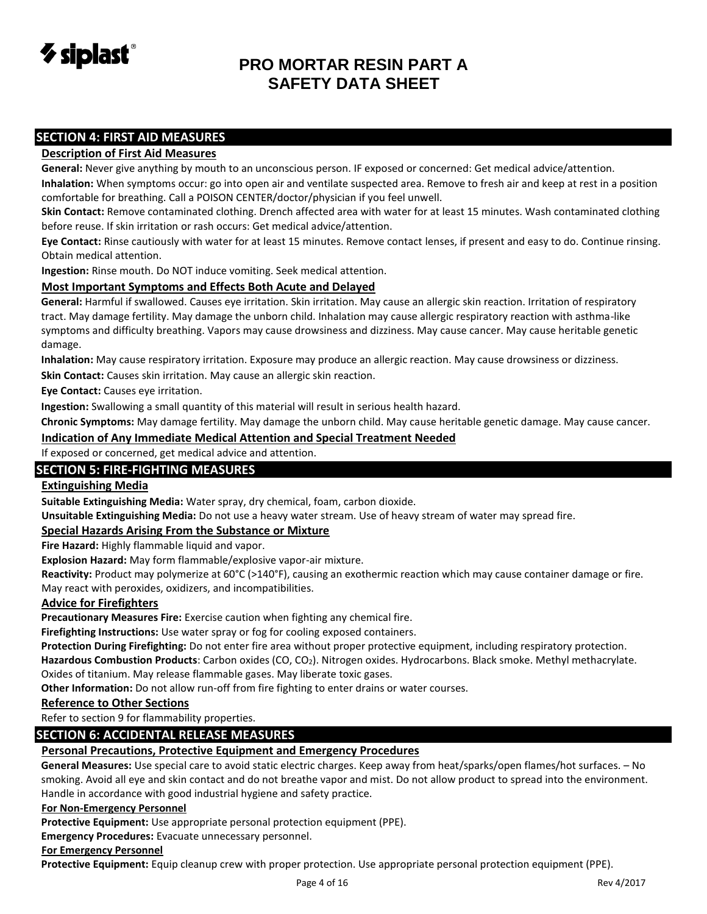

#### **SECTION 4: FIRST AID MEASURES**

#### **Description of First Aid Measures**

**General:** Never give anything by mouth to an unconscious person. IF exposed or concerned: Get medical advice/attention.

**Inhalation:** When symptoms occur: go into open air and ventilate suspected area. Remove to fresh air and keep at rest in a position comfortable for breathing. Call a POISON CENTER/doctor/physician if you feel unwell.

**Skin Contact:** Remove contaminated clothing. Drench affected area with water for at least 15 minutes. Wash contaminated clothing before reuse. If skin irritation or rash occurs: Get medical advice/attention.

**Eye Contact:** Rinse cautiously with water for at least 15 minutes. Remove contact lenses, if present and easy to do. Continue rinsing. Obtain medical attention.

**Ingestion:** Rinse mouth. Do NOT induce vomiting. Seek medical attention.

#### **Most Important Symptoms and Effects Both Acute and Delayed**

**General:** Harmful if swallowed. Causes eye irritation. Skin irritation. May cause an allergic skin reaction. Irritation of respiratory tract. May damage fertility. May damage the unborn child. Inhalation may cause allergic respiratory reaction with asthma-like symptoms and difficulty breathing. Vapors may cause drowsiness and dizziness. May cause cancer. May cause heritable genetic damage.

**Inhalation:** May cause respiratory irritation. Exposure may produce an allergic reaction. May cause drowsiness or dizziness. **Skin Contact:** Causes skin irritation. May cause an allergic skin reaction.

**Eye Contact:** Causes eye irritation.

**Ingestion:** Swallowing a small quantity of this material will result in serious health hazard.

**Chronic Symptoms:** May damage fertility. May damage the unborn child. May cause heritable genetic damage. May cause cancer.

**Indication of Any Immediate Medical Attention and Special Treatment Needed**

If exposed or concerned, get medical advice and attention.

#### **SECTION 5: FIRE-FIGHTING MEASURES**

#### **Extinguishing Media**

**Suitable Extinguishing Media:** Water spray, dry chemical, foam, carbon dioxide.

**Unsuitable Extinguishing Media:** Do not use a heavy water stream. Use of heavy stream of water may spread fire.

#### **Special Hazards Arising From the Substance or Mixture**

**Fire Hazard:** Highly flammable liquid and vapor.

**Explosion Hazard:** May form flammable/explosive vapor-air mixture.

**Reactivity:** Product may polymerize at 60°C (>140°F), causing an exothermic reaction which may cause container damage or fire. May react with peroxides, oxidizers, and incompatibilities.

#### **Advice for Firefighters**

**Precautionary Measures Fire:** Exercise caution when fighting any chemical fire.

**Firefighting Instructions:** Use water spray or fog for cooling exposed containers.

**Protection During Firefighting:** Do not enter fire area without proper protective equipment, including respiratory protection.

**Hazardous Combustion Products**: Carbon oxides (CO, CO2). Nitrogen oxides. Hydrocarbons. Black smoke. Methyl methacrylate.

Oxides of titanium. May release flammable gases. May liberate toxic gases.

**Other Information:** Do not allow run-off from fire fighting to enter drains or water courses.

#### **Reference to Other Sections**

Refer to section 9 for flammability properties.

#### **SECTION 6: ACCIDENTAL RELEASE MEASURES**

#### **Personal Precautions, Protective Equipment and Emergency Procedures**

**General Measures:** Use special care to avoid static electric charges. Keep away from heat/sparks/open flames/hot surfaces. – No smoking. Avoid all eye and skin contact and do not breathe vapor and mist. Do not allow product to spread into the environment. Handle in accordance with good industrial hygiene and safety practice.

#### **For Non-Emergency Personnel**

**Protective Equipment:** Use appropriate personal protection equipment (PPE).

**Emergency Procedures:** Evacuate unnecessary personnel.

#### **For Emergency Personnel**

**Protective Equipment:** Equip cleanup crew with proper protection. Use appropriate personal protection equipment (PPE).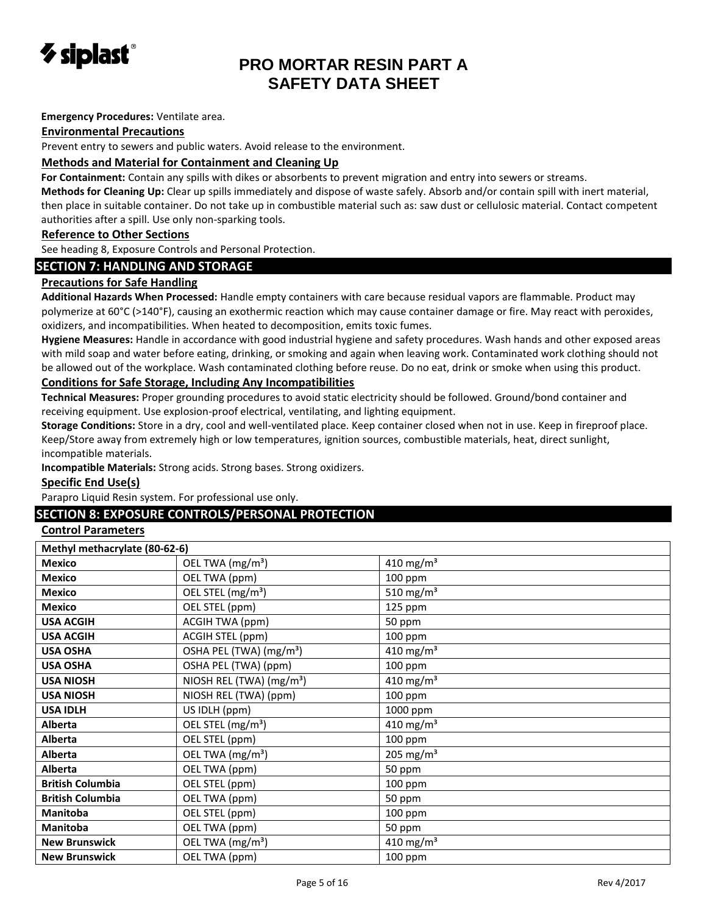

#### **Emergency Procedures:** Ventilate area.

#### **Environmental Precautions**

Prevent entry to sewers and public waters. Avoid release to the environment.

#### **Methods and Material for Containment and Cleaning Up**

**For Containment:** Contain any spills with dikes or absorbents to prevent migration and entry into sewers or streams.

**Methods for Cleaning Up:** Clear up spills immediately and dispose of waste safely. Absorb and/or contain spill with inert material, then place in suitable container. Do not take up in combustible material such as: saw dust or cellulosic material. Contact competent authorities after a spill. Use only non-sparking tools.

#### **Reference to Other Sections**

See heading 8, Exposure Controls and Personal Protection.

#### **SECTION 7: HANDLING AND STORAGE**

#### **Precautions for Safe Handling**

**Additional Hazards When Processed:** Handle empty containers with care because residual vapors are flammable. Product may polymerize at 60°C (>140°F), causing an exothermic reaction which may cause container damage or fire. May react with peroxides, oxidizers, and incompatibilities. When heated to decomposition, emits toxic fumes.

**Hygiene Measures:** Handle in accordance with good industrial hygiene and safety procedures. Wash hands and other exposed areas with mild soap and water before eating, drinking, or smoking and again when leaving work. Contaminated work clothing should not be allowed out of the workplace. Wash contaminated clothing before reuse. Do no eat, drink or smoke when using this product. **Conditions for Safe Storage, Including Any Incompatibilities** 

**Technical Measures:** Proper grounding procedures to avoid static electricity should be followed. Ground/bond container and receiving equipment. Use explosion-proof electrical, ventilating, and lighting equipment.

**Storage Conditions:** Store in a dry, cool and well-ventilated place. Keep container closed when not in use. Keep in fireproof place. Keep/Store away from extremely high or low temperatures, ignition sources, combustible materials, heat, direct sunlight, incompatible materials.

**Incompatible Materials:** Strong acids. Strong bases. Strong oxidizers.

#### **Specific End Use(s)**

Parapro Liquid Resin system. For professional use only.

#### **SECTION 8: EXPOSURE CONTROLS/PERSONAL PROTECTION**

#### **Control Parameters**

| Methyl methacrylate (80-62-6) |                                      |                       |
|-------------------------------|--------------------------------------|-----------------------|
| <b>Mexico</b>                 | OEL TWA (mg/m <sup>3</sup> )         | 410 mg/m <sup>3</sup> |
| <b>Mexico</b>                 | OEL TWA (ppm)                        | 100 ppm               |
| <b>Mexico</b>                 | OEL STEL (mg/m <sup>3</sup> )        | 510 mg/m <sup>3</sup> |
| <b>Mexico</b>                 | OEL STEL (ppm)                       | 125 ppm               |
| <b>USA ACGIH</b>              | ACGIH TWA (ppm)                      | 50 ppm                |
| <b>USA ACGIH</b>              | ACGIH STEL (ppm)                     | 100 ppm               |
| <b>USA OSHA</b>               | OSHA PEL (TWA) (mg/m <sup>3</sup> )  | 410 mg/m <sup>3</sup> |
| <b>USA OSHA</b>               | OSHA PEL (TWA) (ppm)                 | 100 ppm               |
| <b>USA NIOSH</b>              | NIOSH REL (TWA) (mg/m <sup>3</sup> ) | 410 mg/m <sup>3</sup> |
| <b>USA NIOSH</b>              | NIOSH REL (TWA) (ppm)                | 100 ppm               |
| <b>USA IDLH</b>               | US IDLH (ppm)                        | 1000 ppm              |
| <b>Alberta</b>                | OEL STEL (mg/m <sup>3</sup> )        | 410 mg/m <sup>3</sup> |
| <b>Alberta</b>                | OEL STEL (ppm)                       | 100 ppm               |
| Alberta                       | OEL TWA (mg/m <sup>3</sup> )         | 205 mg/m <sup>3</sup> |
| <b>Alberta</b>                | OEL TWA (ppm)                        | 50 ppm                |
| <b>British Columbia</b>       | OEL STEL (ppm)                       | 100 ppm               |
| <b>British Columbia</b>       | OEL TWA (ppm)                        | 50 ppm                |
| <b>Manitoba</b>               | OEL STEL (ppm)                       | 100 ppm               |
| <b>Manitoba</b>               | OEL TWA (ppm)                        | 50 ppm                |
| <b>New Brunswick</b>          | OEL TWA (mg/m <sup>3</sup> )         | 410 mg/m <sup>3</sup> |
| <b>New Brunswick</b>          | OEL TWA (ppm)                        | 100 ppm               |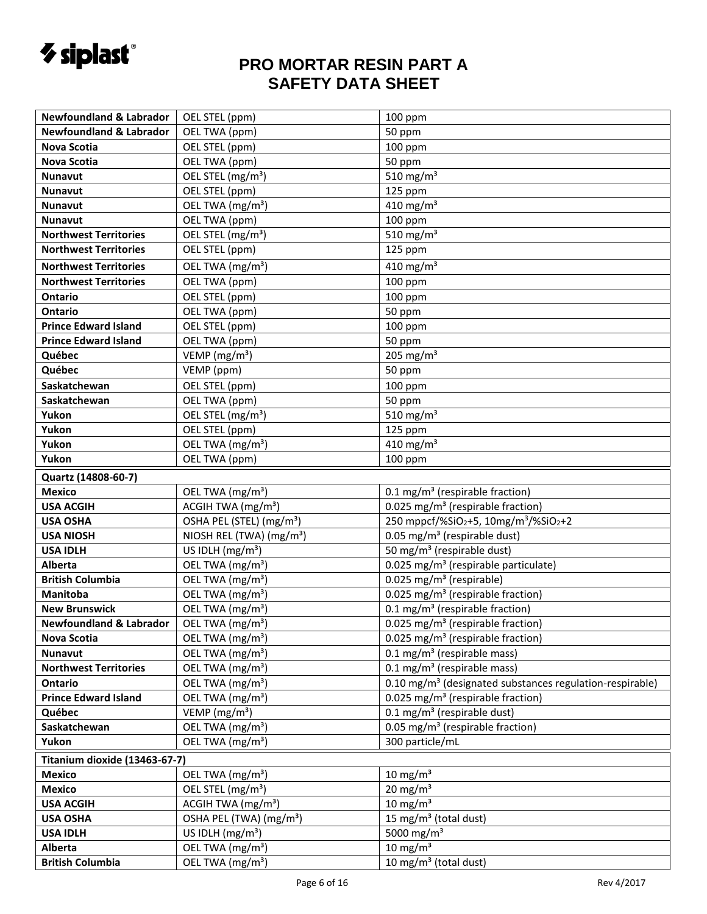

| <b>Newfoundland &amp; Labrador</b> | OEL STEL (ppm)                       | 100 ppm                                                              |
|------------------------------------|--------------------------------------|----------------------------------------------------------------------|
| <b>Newfoundland &amp; Labrador</b> | OEL TWA (ppm)                        | 50 ppm                                                               |
| <b>Nova Scotia</b>                 | OEL STEL (ppm)                       | 100 ppm                                                              |
| <b>Nova Scotia</b>                 | OEL TWA (ppm)                        | 50 ppm                                                               |
| Nunavut                            | OEL STEL (mg/m <sup>3</sup> )        | 510 mg/m $3$                                                         |
| Nunavut                            | OEL STEL (ppm)                       | 125 ppm                                                              |
| Nunavut                            | OEL TWA (mg/m <sup>3</sup> )         | 410 mg/m <sup>3</sup>                                                |
| <b>Nunavut</b>                     | OEL TWA (ppm)                        | 100 ppm                                                              |
| <b>Northwest Territories</b>       | OEL STEL (mg/m <sup>3</sup> )        | 510 mg/m <sup>3</sup>                                                |
| <b>Northwest Territories</b>       | OEL STEL (ppm)                       | 125 ppm                                                              |
| <b>Northwest Territories</b>       | OEL TWA (mg/m <sup>3</sup> )         | 410 mg/m <sup>3</sup>                                                |
| <b>Northwest Territories</b>       | OEL TWA (ppm)                        | 100 ppm                                                              |
| Ontario                            | OEL STEL (ppm)                       | 100 ppm                                                              |
| Ontario                            | OEL TWA (ppm)                        | 50 ppm                                                               |
| <b>Prince Edward Island</b>        | OEL STEL (ppm)                       | 100 ppm                                                              |
| <b>Prince Edward Island</b>        | OEL TWA (ppm)                        | 50 ppm                                                               |
| Québec                             | VEMP (mg/m <sup>3</sup> )            | 205 mg/m $3$                                                         |
| Québec                             | VEMP (ppm)                           | 50 ppm                                                               |
| Saskatchewan                       | OEL STEL (ppm)                       | 100 ppm                                                              |
| Saskatchewan                       | OEL TWA (ppm)                        | 50 ppm                                                               |
| Yukon                              | OEL STEL (mg/m <sup>3</sup> )        | 510 mg/m <sup>3</sup>                                                |
| Yukon                              | OEL STEL (ppm)                       | 125 ppm                                                              |
| Yukon                              | OEL TWA (mg/m <sup>3</sup> )         | 410 mg/m <sup>3</sup>                                                |
| Yukon                              | OEL TWA (ppm)                        | 100 ppm                                                              |
| Quartz (14808-60-7)                |                                      |                                                                      |
| <b>Mexico</b>                      | OEL TWA (mg/m <sup>3</sup> )         | 0.1 mg/m <sup>3</sup> (respirable fraction)                          |
| <b>USA ACGIH</b>                   | ACGIH TWA (mg/m <sup>3</sup> )       | 0.025 mg/m <sup>3</sup> (respirable fraction)                        |
| <b>USA OSHA</b>                    | OSHA PEL (STEL) (mg/m <sup>3</sup> ) | 250 mppcf/%SiO2+5, 10mg/m <sup>3</sup> /%SiO <sub>2</sub> +2         |
| <b>USA NIOSH</b>                   | NIOSH REL (TWA) (mg/m <sup>3</sup> ) | 0.05 mg/m <sup>3</sup> (respirable dust)                             |
| <b>USA IDLH</b>                    | US IDLH $(mg/m3)$                    | 50 mg/m <sup>3</sup> (respirable dust)                               |
| Alberta                            | OEL TWA (mg/m <sup>3</sup> )         | 0.025 mg/m <sup>3</sup> (respirable particulate)                     |
| <b>British Columbia</b>            | OEL TWA (mg/m <sup>3</sup> )         | 0.025 mg/m <sup>3</sup> (respirable)                                 |
| Manitoba                           | OEL TWA (mg/m <sup>3</sup> )         | 0.025 mg/m <sup>3</sup> (respirable fraction)                        |
| <b>New Brunswick</b>               | OEL TWA (mg/m <sup>3</sup> )         | 0.1 mg/m <sup>3</sup> (respirable fraction)                          |
| <b>Newfoundland &amp; Labrador</b> | OEL TWA (mg/m <sup>3</sup> )         | 0.025 mg/m <sup>3</sup> (respirable fraction)                        |
| <b>Nova Scotia</b>                 | OEL TWA (mg/m <sup>3</sup> )         | 0.025 mg/m <sup>3</sup> (respirable fraction)                        |
| <b>Nunavut</b>                     | OEL TWA (mg/m <sup>3</sup> )         | $0.1$ mg/m <sup>3</sup> (respirable mass)                            |
| <b>Northwest Territories</b>       | OEL TWA (mg/m <sup>3</sup> )         | $0.1 \text{ mg/m}^3$ (respirable mass)                               |
| Ontario                            | OEL TWA (mg/m <sup>3</sup> )         | 0.10 mg/m <sup>3</sup> (designated substances regulation-respirable) |
| <b>Prince Edward Island</b>        | OEL TWA (mg/m <sup>3</sup> )         | 0.025 mg/m <sup>3</sup> (respirable fraction)                        |
| Québec                             | VEMP ( $mg/m3$ )                     | $0.1$ mg/m <sup>3</sup> (respirable dust)                            |
| Saskatchewan                       | OEL TWA (mg/m <sup>3</sup> )         | 0.05 mg/m <sup>3</sup> (respirable fraction)                         |
| Yukon                              | OEL TWA (mg/m <sup>3</sup> )         | 300 particle/mL                                                      |
| Titanium dioxide (13463-67-7)      |                                      |                                                                      |
| <b>Mexico</b>                      | OEL TWA (mg/m <sup>3</sup> )         | 10 mg/m $3$                                                          |
| <b>Mexico</b>                      | OEL STEL (mg/m <sup>3</sup> )        | $20 \text{ mg/m}^3$                                                  |
| <b>USA ACGIH</b>                   | ACGIH TWA (mg/m <sup>3</sup> )       | $10 \text{ mg/m}^3$                                                  |
| <b>USA OSHA</b>                    | OSHA PEL (TWA) (mg/m <sup>3</sup> )  | 15 mg/m <sup>3</sup> (total dust)                                    |
| <b>USA IDLH</b>                    | US IDLH $(mg/m3)$                    | 5000 mg/m <sup>3</sup>                                               |
| <b>Alberta</b>                     | OEL TWA (mg/m <sup>3</sup> )         | $10 \text{ mg/m}^3$                                                  |
| <b>British Columbia</b>            | OEL TWA (mg/m <sup>3</sup> )         | 10 mg/m <sup>3</sup> (total dust)                                    |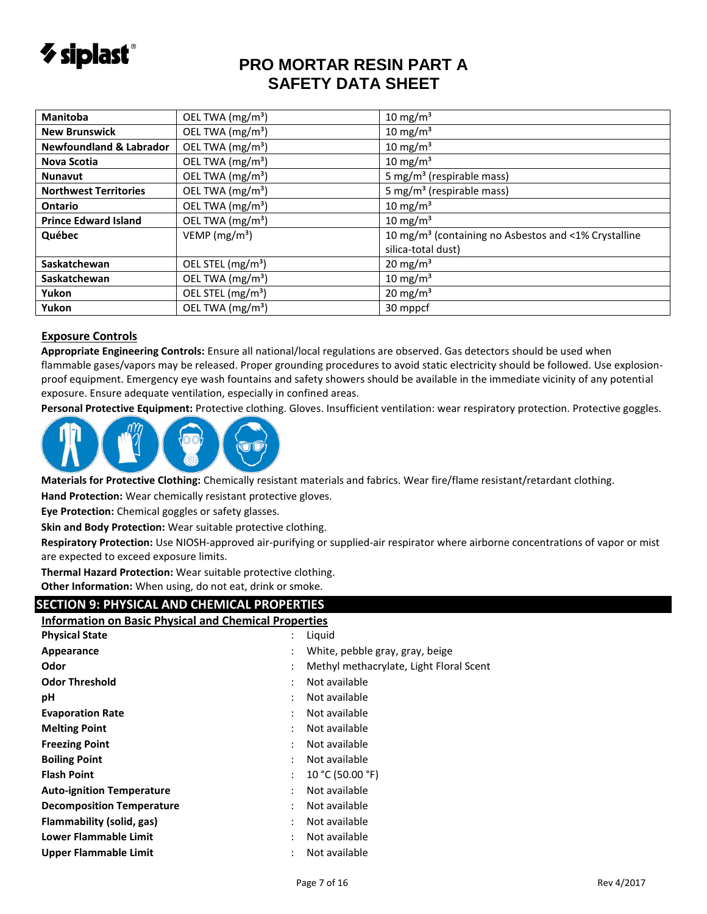

| <b>Manitoba</b>                    | OEL TWA (mg/m <sup>3</sup> )  | 10 mg/m <sup>3</sup>                                             |
|------------------------------------|-------------------------------|------------------------------------------------------------------|
| <b>New Brunswick</b>               | OEL TWA (mg/m <sup>3</sup> )  | 10 mg/m <sup>3</sup>                                             |
| <b>Newfoundland &amp; Labrador</b> | OEL TWA (mg/m <sup>3</sup> )  | $10 \text{ mg/m}^3$                                              |
| Nova Scotia                        | OEL TWA (mg/m <sup>3</sup> )  | 10 mg/m <sup>3</sup>                                             |
| <b>Nunavut</b>                     | OEL TWA (mg/m <sup>3</sup> )  | 5 mg/m <sup>3</sup> (respirable mass)                            |
| <b>Northwest Territories</b>       | OEL TWA (mg/m <sup>3</sup> )  | 5 mg/m <sup>3</sup> (respirable mass)                            |
| <b>Ontario</b>                     | OEL TWA (mg/m <sup>3</sup> )  | $10 \text{ mg/m}^3$                                              |
| <b>Prince Edward Island</b>        | OEL TWA (mg/m <sup>3</sup> )  | $10 \text{ mg/m}^3$                                              |
| Québec                             | VEMP ( $mg/m3$ )              | 10 mg/m <sup>3</sup> (containing no Asbestos and <1% Crystalline |
|                                    |                               | silica-total dust)                                               |
| Saskatchewan                       | OEL STEL (mg/m <sup>3</sup> ) | $20 \text{ mg/m}^3$                                              |
| Saskatchewan                       | OEL TWA (mg/m <sup>3</sup> )  | $10 \text{ mg/m}^3$                                              |
| Yukon                              | OEL STEL (mg/m <sup>3</sup> ) | $20 \text{ mg/m}^3$                                              |
| Yukon                              | OEL TWA (mg/m <sup>3</sup> )  | 30 mppcf                                                         |

#### **Exposure Controls**

**Appropriate Engineering Controls:** Ensure all national/local regulations are observed. Gas detectors should be used when flammable gases/vapors may be released. Proper grounding procedures to avoid static electricity should be followed. Use explosionproof equipment. Emergency eye wash fountains and safety showers should be available in the immediate vicinity of any potential exposure. Ensure adequate ventilation, especially in confined areas.

**Personal Protective Equipment:** Protective clothing. Gloves. Insufficient ventilation: wear respiratory protection. Protective goggles.



**Materials for Protective Clothing:** Chemically resistant materials and fabrics. Wear fire/flame resistant/retardant clothing.

**Hand Protection:** Wear chemically resistant protective gloves.

**Eye Protection:** Chemical goggles or safety glasses.

**Skin and Body Protection:** Wear suitable protective clothing.

**Respiratory Protection:** Use NIOSH-approved air-purifying or supplied-air respirator where airborne concentrations of vapor or mist are expected to exceed exposure limits.

**Thermal Hazard Protection:** Wear suitable protective clothing. **Other Information:** When using, do not eat, drink or smoke.

### **SECTION 9: PHYSICAL AND CHEMICAL PROPERTIES**

| <b>Information on Basic Physical and Chemical Properties</b> |                      |                                         |  |
|--------------------------------------------------------------|----------------------|-----------------------------------------|--|
| <b>Physical State</b>                                        | $\ddot{\phantom{0}}$ | Liquid                                  |  |
| Appearance                                                   |                      | White, pebble gray, gray, beige         |  |
| Odor                                                         |                      | Methyl methacrylate, Light Floral Scent |  |
| <b>Odor Threshold</b>                                        |                      | Not available                           |  |
| рH                                                           |                      | Not available                           |  |
| <b>Evaporation Rate</b>                                      |                      | Not available                           |  |
| <b>Melting Point</b>                                         |                      | Not available                           |  |
| <b>Freezing Point</b>                                        |                      | Not available                           |  |
| <b>Boiling Point</b>                                         |                      | Not available                           |  |
| <b>Flash Point</b>                                           |                      | 10 °C (50.00 °F)                        |  |
| <b>Auto-ignition Temperature</b>                             |                      | Not available                           |  |
| <b>Decomposition Temperature</b>                             |                      | Not available                           |  |
| Flammability (solid, gas)                                    |                      | Not available                           |  |
| <b>Lower Flammable Limit</b>                                 |                      | Not available                           |  |
| Upper Flammable Limit                                        |                      | Not available                           |  |
|                                                              |                      |                                         |  |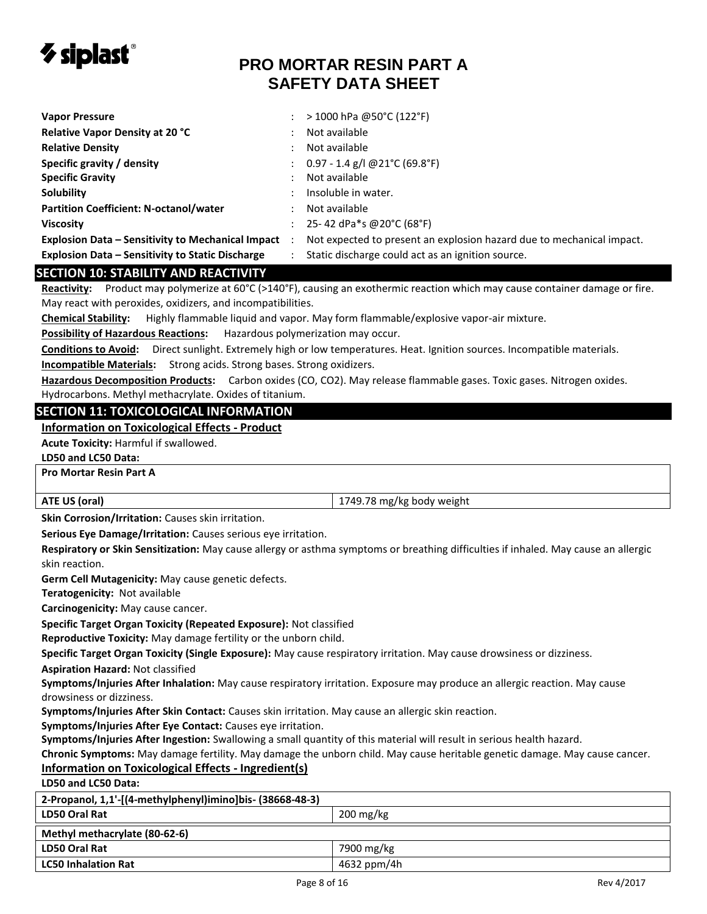

| <b>Vapor Pressure</b>                                    |                      | $>$ 1000 hPa @50°C (122°F)                                            |
|----------------------------------------------------------|----------------------|-----------------------------------------------------------------------|
| <b>Relative Vapor Density at 20 °C</b>                   |                      | Not available                                                         |
| <b>Relative Density</b>                                  |                      | Not available                                                         |
| Specific gravity / density                               |                      | : $0.97 - 1.4$ g/l @21°C (69.8°F)                                     |
| <b>Specific Gravity</b>                                  |                      | Not available                                                         |
| <b>Solubility</b>                                        |                      | Insoluble in water.                                                   |
| <b>Partition Coefficient: N-octanol/water</b>            |                      | Not available                                                         |
| <b>Viscosity</b>                                         |                      | 25-42 dPa*s @20°C (68°F)                                              |
| <b>Explosion Data - Sensitivity to Mechanical Impact</b> | $\ddot{\phantom{0}}$ | Not expected to present an explosion hazard due to mechanical impact. |
| <b>Explosion Data - Sensitivity to Static Discharge</b>  |                      | Static discharge could act as an ignition source.                     |
| <b>SECTION 10: STABILITY AND REACTIVITY</b>              |                      |                                                                       |

#### **SECTION 10: STABILITY AND REACTIVITY**

**Reactivity:** Product may polymerize at 60°C (>140°F), causing an exothermic reaction which may cause container damage or fire. May react with peroxides, oxidizers, and incompatibilities.

**Chemical Stability:** Highly flammable liquid and vapor. May form flammable/explosive vapor-air mixture.

**Possibility of Hazardous Reactions:** Hazardous polymerization may occur.

**Conditions to Avoid:** Direct sunlight. Extremely high or low temperatures. Heat. Ignition sources. Incompatible materials.

**Incompatible Materials:** Strong acids. Strong bases. Strong oxidizers.

**Hazardous Decomposition Products:** Carbon oxides (CO, CO2). May release flammable gases. Toxic gases. Nitrogen oxides. Hydrocarbons. Methyl methacrylate. Oxides of titanium.

#### **SECTION 11: TOXICOLOGICAL INFORMATION**

#### **Information on Toxicological Effects - Product**

**Acute Toxicity:** Harmful if swallowed.

**LD50 and LC50 Data:**

#### **Pro Mortar Resin Part A**

**ATE US (oral)** 1749.78 mg/kg body weight

**Skin Corrosion/Irritation:** Causes skin irritation.

**Serious Eye Damage/Irritation:** Causes serious eye irritation.

**Respiratory or Skin Sensitization:** May cause allergy or asthma symptoms or breathing difficulties if inhaled. May cause an allergic skin reaction.

**Germ Cell Mutagenicity:** May cause genetic defects.

**Teratogenicity:** Not available

**Carcinogenicity:** May cause cancer.

**Specific Target Organ Toxicity (Repeated Exposure):** Not classified

**Reproductive Toxicity:** May damage fertility or the unborn child.

**Specific Target Organ Toxicity (Single Exposure):** May cause respiratory irritation. May cause drowsiness or dizziness.

**Aspiration Hazard:** Not classified

**Symptoms/Injuries After Inhalation:** May cause respiratory irritation. Exposure may produce an allergic reaction. May cause drowsiness or dizziness.

**Symptoms/Injuries After Skin Contact:** Causes skin irritation. May cause an allergic skin reaction.

**Symptoms/Injuries After Eye Contact:** Causes eye irritation.

**Symptoms/Injuries After Ingestion:** Swallowing a small quantity of this material will result in serious health hazard.

**Chronic Symptoms:** May damage fertility. May damage the unborn child. May cause heritable genetic damage. May cause cancer.

#### **Information on Toxicological Effects - Ingredient(s)**

**LD50 and LC50 Data:**

| 2-Propanol, 1,1'-[(4-methylphenyl)imino]bis- (38668-48-3) |                        |  |
|-----------------------------------------------------------|------------------------|--|
| LD50 Oral Rat                                             | $200 \,\mathrm{mg/kg}$ |  |
| Methyl methacrylate (80-62-6)                             |                        |  |
| LD50 Oral Rat                                             | 7900 mg/kg             |  |
| <b>LC50 Inhalation Rat</b>                                | 4632 ppm/4h            |  |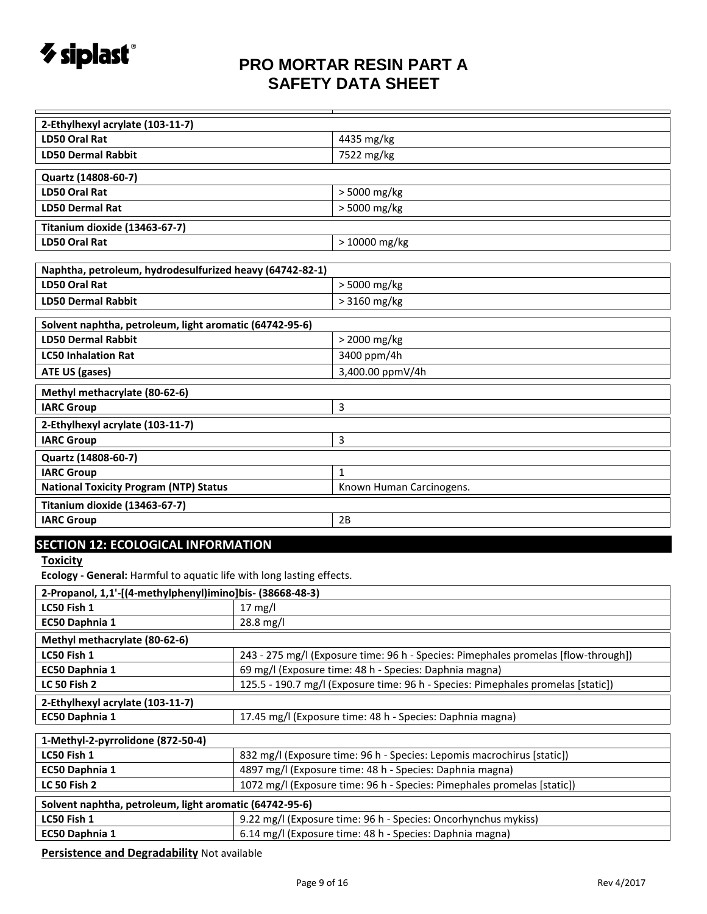

| 2-Ethylhexyl acrylate (103-11-7)                                                                  |                                                                                  |                          |  |
|---------------------------------------------------------------------------------------------------|----------------------------------------------------------------------------------|--------------------------|--|
| LD50 Oral Rat                                                                                     |                                                                                  | 4435 mg/kg               |  |
| <b>LD50 Dermal Rabbit</b>                                                                         |                                                                                  | 7522 mg/kg               |  |
| Quartz (14808-60-7)                                                                               |                                                                                  |                          |  |
| LD50 Oral Rat                                                                                     |                                                                                  | > 5000 mg/kg             |  |
| <b>LD50 Dermal Rat</b>                                                                            |                                                                                  | > 5000 mg/kg             |  |
| Titanium dioxide (13463-67-7)                                                                     |                                                                                  |                          |  |
| LD50 Oral Rat                                                                                     |                                                                                  | $>10000$ mg/kg           |  |
|                                                                                                   |                                                                                  |                          |  |
| Naphtha, petroleum, hydrodesulfurized heavy (64742-82-1)                                          |                                                                                  |                          |  |
| <b>LD50 Oral Rat</b>                                                                              |                                                                                  | > 5000 mg/kg             |  |
| <b>LD50 Dermal Rabbit</b>                                                                         |                                                                                  | > 3160 mg/kg             |  |
| Solvent naphtha, petroleum, light aromatic (64742-95-6)                                           |                                                                                  |                          |  |
| <b>LD50 Dermal Rabbit</b>                                                                         |                                                                                  | > 2000 mg/kg             |  |
| <b>LC50 Inhalation Rat</b>                                                                        |                                                                                  | 3400 ppm/4h              |  |
| ATE US (gases)                                                                                    |                                                                                  | 3,400.00 ppmV/4h         |  |
| Methyl methacrylate (80-62-6)                                                                     |                                                                                  |                          |  |
| <b>IARC Group</b>                                                                                 |                                                                                  | 3                        |  |
| 2-Ethylhexyl acrylate (103-11-7)                                                                  |                                                                                  |                          |  |
| <b>IARC Group</b>                                                                                 |                                                                                  | 3                        |  |
| Quartz (14808-60-7)                                                                               |                                                                                  |                          |  |
| <b>IARC Group</b>                                                                                 |                                                                                  | 1                        |  |
| <b>National Toxicity Program (NTP) Status</b>                                                     |                                                                                  | Known Human Carcinogens. |  |
| Titanium dioxide (13463-67-7)                                                                     |                                                                                  |                          |  |
| <b>IARC Group</b><br>2B                                                                           |                                                                                  |                          |  |
| <b>SECTION 12: ECOLOGICAL INFORMATION</b>                                                         |                                                                                  |                          |  |
| <b>Toxicity</b>                                                                                   |                                                                                  |                          |  |
| Ecology - General: Harmful to aquatic life with long lasting effects.                             |                                                                                  |                          |  |
| 2-Propanol, 1,1'-[(4-methylphenyl)imino]bis- (38668-48-3)                                         |                                                                                  |                          |  |
| LC50 Fish 1                                                                                       | $17$ mg/l                                                                        |                          |  |
| EC50 Daphnia 1                                                                                    | 28.8 mg/l                                                                        |                          |  |
| Methyl methacrylate (80-62-6)                                                                     |                                                                                  |                          |  |
| LC50 Fish 1<br>243 - 275 mg/l (Exposure time: 96 h - Species: Pimephales promelas [flow-through]) |                                                                                  |                          |  |
| EC50 Daphnia 1                                                                                    | 69 mg/l (Exposure time: 48 h - Species: Daphnia magna)                           |                          |  |
| <b>LC 50 Fish 2</b>                                                                               | 125.5 - 190.7 mg/l (Exposure time: 96 h - Species: Pimephales promelas [static]) |                          |  |
| 2-Ethylhexyl acrylate (103-11-7)                                                                  |                                                                                  |                          |  |
| 17.45 mg/l (Exposure time: 48 h - Species: Daphnia magna)<br>EC50 Daphnia 1                       |                                                                                  |                          |  |
| 1-Methyl-2-pyrrolidone (872-50-4)                                                                 |                                                                                  |                          |  |
| 832 mg/l (Exposure time: 96 h - Species: Lepomis macrochirus [static])<br>LC50 Fish 1             |                                                                                  |                          |  |
| EC50 Daphnia 1                                                                                    | 4897 mg/l (Exposure time: 48 h - Species: Daphnia magna)                         |                          |  |
| 1072 mg/l (Exposure time: 96 h - Species: Pimephales promelas [static])<br><b>LC 50 Fish 2</b>    |                                                                                  |                          |  |
| Solvent naphtha, petroleum, light aromatic (64742-95-6)                                           |                                                                                  |                          |  |
|                                                                                                   |                                                                                  |                          |  |

**LC50 Fish 1** 9.22 mg/l (Exposure time: 96 h - Species: Oncorhynchus mykiss) **EC50 Daphnia 1** 6.14 mg/l (Exposure time: 48 h - Species: Daphnia magna)

**Persistence and Degradability** Not available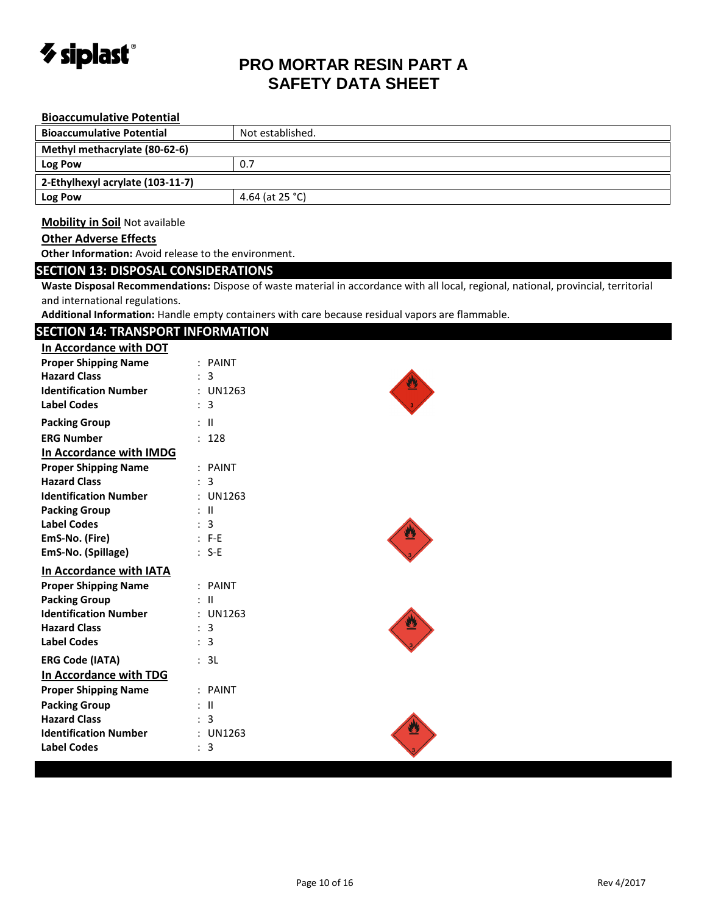

| <b>Bioaccumulative Potential</b>                      |                                                                                                                                     |  |  |  |  |  |
|-------------------------------------------------------|-------------------------------------------------------------------------------------------------------------------------------------|--|--|--|--|--|
| <b>Bioaccumulative Potential</b>                      | Not established.                                                                                                                    |  |  |  |  |  |
| Methyl methacrylate (80-62-6)                         |                                                                                                                                     |  |  |  |  |  |
| Log Pow                                               | 0.7                                                                                                                                 |  |  |  |  |  |
| 2-Ethylhexyl acrylate (103-11-7)                      |                                                                                                                                     |  |  |  |  |  |
| Log Pow                                               | 4.64 (at 25 °C)                                                                                                                     |  |  |  |  |  |
|                                                       |                                                                                                                                     |  |  |  |  |  |
| <b>Mobility in Soil Not available</b>                 |                                                                                                                                     |  |  |  |  |  |
| <b>Other Adverse Effects</b>                          |                                                                                                                                     |  |  |  |  |  |
| Other Information: Avoid release to the environment.  |                                                                                                                                     |  |  |  |  |  |
| <b>SECTION 13: DISPOSAL CONSIDERATIONS</b>            |                                                                                                                                     |  |  |  |  |  |
|                                                       | Waste Disposal Recommendations: Dispose of waste material in accordance with all local, regional, national, provincial, territorial |  |  |  |  |  |
| and international regulations.                        |                                                                                                                                     |  |  |  |  |  |
|                                                       | Additional Information: Handle empty containers with care because residual vapors are flammable.                                    |  |  |  |  |  |
| <b>SECTION 14: TRANSPORT INFORMATION</b>              |                                                                                                                                     |  |  |  |  |  |
| In Accordance with DOT<br><b>Proper Shipping Name</b> | : PAINT                                                                                                                             |  |  |  |  |  |
| <b>Hazard Class</b>                                   | : 3                                                                                                                                 |  |  |  |  |  |
| <b>Identification Number</b>                          | : UN1263                                                                                                                            |  |  |  |  |  |
| <b>Label Codes</b>                                    | $\therefore$ 3                                                                                                                      |  |  |  |  |  |
| <b>Packing Group</b>                                  | $\mathbb{R}^n$                                                                                                                      |  |  |  |  |  |
| <b>ERG Number</b>                                     | : 128                                                                                                                               |  |  |  |  |  |
| In Accordance with IMDG                               |                                                                                                                                     |  |  |  |  |  |
| <b>Proper Shipping Name</b>                           | : PAINT                                                                                                                             |  |  |  |  |  |
| <b>Hazard Class</b>                                   | : 3                                                                                                                                 |  |  |  |  |  |
| <b>Identification Number</b>                          | : UN1263                                                                                                                            |  |  |  |  |  |
| <b>Packing Group</b>                                  | : II                                                                                                                                |  |  |  |  |  |
| <b>Label Codes</b>                                    | : 3                                                                                                                                 |  |  |  |  |  |
| EmS-No. (Fire)                                        | $: F-E$                                                                                                                             |  |  |  |  |  |
| EmS-No. (Spillage)                                    | $: S-E$                                                                                                                             |  |  |  |  |  |
| In Accordance with IATA                               |                                                                                                                                     |  |  |  |  |  |
| <b>Proper Shipping Name</b>                           | : PAINT                                                                                                                             |  |  |  |  |  |
| <b>Packing Group</b><br><b>Identification Number</b>  | : II                                                                                                                                |  |  |  |  |  |
| <b>Hazard Class</b>                                   | : UN1263<br>: 3                                                                                                                     |  |  |  |  |  |
| <b>Label Codes</b>                                    | 3                                                                                                                                   |  |  |  |  |  |
| <b>ERG Code (IATA)</b>                                | : 3L                                                                                                                                |  |  |  |  |  |
| In Accordance with TDG                                |                                                                                                                                     |  |  |  |  |  |
| <b>Proper Shipping Name</b>                           | : PAINT                                                                                                                             |  |  |  |  |  |
| <b>Packing Group</b>                                  | $:$ $\mathbb{H}$                                                                                                                    |  |  |  |  |  |
| <b>Hazard Class</b>                                   | 3                                                                                                                                   |  |  |  |  |  |
| <b>Identification Number</b>                          | : UN1263                                                                                                                            |  |  |  |  |  |
| <b>Label Codes</b>                                    | : 3                                                                                                                                 |  |  |  |  |  |
|                                                       |                                                                                                                                     |  |  |  |  |  |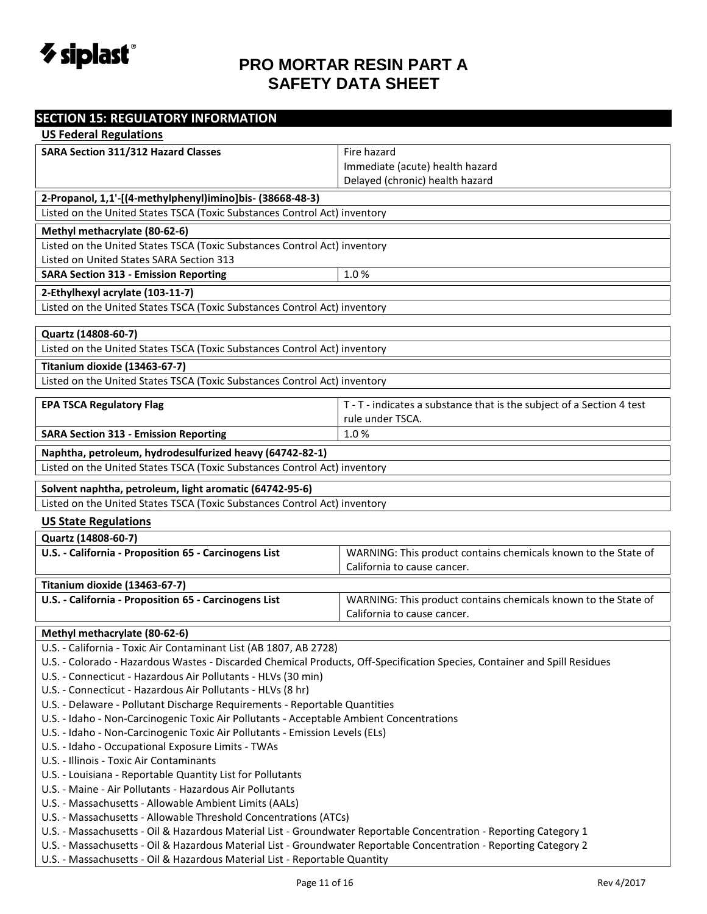

| <b>SECTION 15: REGULATORY INFORMATION</b>                                                                                 |                                                                       |  |
|---------------------------------------------------------------------------------------------------------------------------|-----------------------------------------------------------------------|--|
| <b>US Federal Regulations</b>                                                                                             |                                                                       |  |
| <b>SARA Section 311/312 Hazard Classes</b>                                                                                | Fire hazard                                                           |  |
|                                                                                                                           | Immediate (acute) health hazard                                       |  |
|                                                                                                                           | Delayed (chronic) health hazard                                       |  |
| 2-Propanol, 1,1'-[(4-methylphenyl)imino]bis- (38668-48-3)                                                                 |                                                                       |  |
| Listed on the United States TSCA (Toxic Substances Control Act) inventory                                                 |                                                                       |  |
| Methyl methacrylate (80-62-6)                                                                                             |                                                                       |  |
| Listed on the United States TSCA (Toxic Substances Control Act) inventory                                                 |                                                                       |  |
| Listed on United States SARA Section 313                                                                                  |                                                                       |  |
| <b>SARA Section 313 - Emission Reporting</b>                                                                              | 1.0%                                                                  |  |
| 2-Ethylhexyl acrylate (103-11-7)                                                                                          |                                                                       |  |
| Listed on the United States TSCA (Toxic Substances Control Act) inventory                                                 |                                                                       |  |
| Quartz (14808-60-7)                                                                                                       |                                                                       |  |
| Listed on the United States TSCA (Toxic Substances Control Act) inventory                                                 |                                                                       |  |
|                                                                                                                           |                                                                       |  |
| <b>Titanium dioxide (13463-67-7)</b>                                                                                      |                                                                       |  |
| Listed on the United States TSCA (Toxic Substances Control Act) inventory                                                 |                                                                       |  |
| <b>EPA TSCA Regulatory Flag</b>                                                                                           | T - T - indicates a substance that is the subject of a Section 4 test |  |
|                                                                                                                           | rule under TSCA.                                                      |  |
| <b>SARA Section 313 - Emission Reporting</b>                                                                              | 1.0%                                                                  |  |
| Naphtha, petroleum, hydrodesulfurized heavy (64742-82-1)                                                                  |                                                                       |  |
| Listed on the United States TSCA (Toxic Substances Control Act) inventory                                                 |                                                                       |  |
| Solvent naphtha, petroleum, light aromatic (64742-95-6)                                                                   |                                                                       |  |
| Listed on the United States TSCA (Toxic Substances Control Act) inventory                                                 |                                                                       |  |
| <b>US State Regulations</b>                                                                                               |                                                                       |  |
| Quartz (14808-60-7)                                                                                                       |                                                                       |  |
| U.S. - California - Proposition 65 - Carcinogens List                                                                     | WARNING: This product contains chemicals known to the State of        |  |
|                                                                                                                           | California to cause cancer.                                           |  |
| Titanium dioxide (13463-67-7)                                                                                             |                                                                       |  |
| U.S. - California - Proposition 65 - Carcinogens List                                                                     | WARNING: This product contains chemicals known to the State of        |  |
|                                                                                                                           | California to cause cancer.                                           |  |
| Methyl methacrylate (80-62-6)                                                                                             |                                                                       |  |
| U.S. - California - Toxic Air Contaminant List (AB 1807, AB 2728)                                                         |                                                                       |  |
| U.S. - Colorado - Hazardous Wastes - Discarded Chemical Products, Off-Specification Species, Container and Spill Residues |                                                                       |  |
| U.S. - Connecticut - Hazardous Air Pollutants - HLVs (30 min)                                                             |                                                                       |  |
| U.S. - Connecticut - Hazardous Air Pollutants - HLVs (8 hr)                                                               |                                                                       |  |
| U.S. - Delaware - Pollutant Discharge Requirements - Reportable Quantities                                                |                                                                       |  |
| U.S. - Idaho - Non-Carcinogenic Toxic Air Pollutants - Acceptable Ambient Concentrations                                  |                                                                       |  |
| U.S. - Idaho - Non-Carcinogenic Toxic Air Pollutants - Emission Levels (ELs)                                              |                                                                       |  |
| U.S. - Idaho - Occupational Exposure Limits - TWAs                                                                        |                                                                       |  |
| U.S. - Illinois - Toxic Air Contaminants                                                                                  |                                                                       |  |
| U.S. - Louisiana - Reportable Quantity List for Pollutants                                                                |                                                                       |  |
| U.S. - Maine - Air Pollutants - Hazardous Air Pollutants                                                                  |                                                                       |  |
| U.S. - Massachusetts - Allowable Ambient Limits (AALs)                                                                    |                                                                       |  |
| U.S. - Massachusetts - Allowable Threshold Concentrations (ATCs)                                                          |                                                                       |  |
| U.S. - Massachusetts - Oil & Hazardous Material List - Groundwater Reportable Concentration - Reporting Category 1        |                                                                       |  |
| U.S. - Massachusetts - Oil & Hazardous Material List - Groundwater Reportable Concentration - Reporting Category 2        |                                                                       |  |
| U.S. - Massachusetts - Oil & Hazardous Material List - Reportable Quantity                                                |                                                                       |  |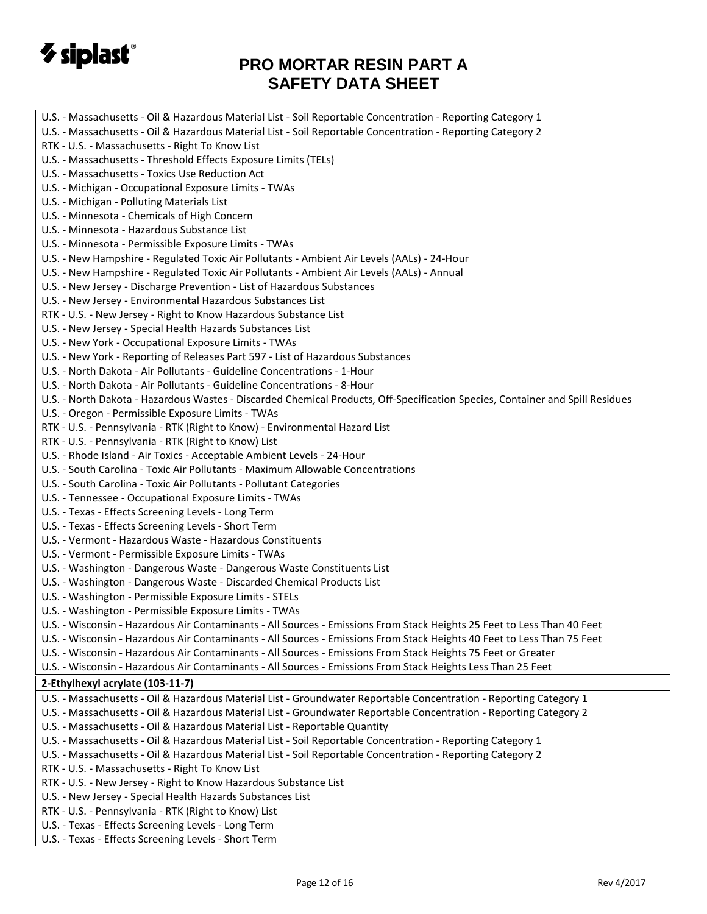

| U.S. - Massachusetts - Oil & Hazardous Material List - Soil Reportable Concentration - Reporting Category 1                   |
|-------------------------------------------------------------------------------------------------------------------------------|
| U.S. - Massachusetts - Oil & Hazardous Material List - Soil Reportable Concentration - Reporting Category 2                   |
| RTK - U.S. - Massachusetts - Right To Know List                                                                               |
| U.S. - Massachusetts - Threshold Effects Exposure Limits (TELs)                                                               |
| U.S. - Massachusetts - Toxics Use Reduction Act                                                                               |
| U.S. - Michigan - Occupational Exposure Limits - TWAs                                                                         |
| U.S. - Michigan - Polluting Materials List                                                                                    |
| U.S. - Minnesota - Chemicals of High Concern                                                                                  |
| U.S. - Minnesota - Hazardous Substance List                                                                                   |
| U.S. - Minnesota - Permissible Exposure Limits - TWAs                                                                         |
| U.S. - New Hampshire - Regulated Toxic Air Pollutants - Ambient Air Levels (AALs) - 24-Hour                                   |
| U.S. - New Hampshire - Regulated Toxic Air Pollutants - Ambient Air Levels (AALs) - Annual                                    |
| U.S. - New Jersey - Discharge Prevention - List of Hazardous Substances                                                       |
| U.S. - New Jersey - Environmental Hazardous Substances List                                                                   |
| RTK - U.S. - New Jersey - Right to Know Hazardous Substance List                                                              |
| U.S. - New Jersey - Special Health Hazards Substances List                                                                    |
| U.S. - New York - Occupational Exposure Limits - TWAs                                                                         |
| U.S. - New York - Reporting of Releases Part 597 - List of Hazardous Substances                                               |
| U.S. - North Dakota - Air Pollutants - Guideline Concentrations - 1-Hour                                                      |
| U.S. - North Dakota - Air Pollutants - Guideline Concentrations - 8-Hour                                                      |
| U.S. - North Dakota - Hazardous Wastes - Discarded Chemical Products, Off-Specification Species, Container and Spill Residues |
| U.S. - Oregon - Permissible Exposure Limits - TWAs                                                                            |
| RTK - U.S. - Pennsylvania - RTK (Right to Know) - Environmental Hazard List                                                   |
| RTK - U.S. - Pennsylvania - RTK (Right to Know) List                                                                          |
| U.S. - Rhode Island - Air Toxics - Acceptable Ambient Levels - 24-Hour                                                        |
| U.S. - South Carolina - Toxic Air Pollutants - Maximum Allowable Concentrations                                               |
| U.S. - South Carolina - Toxic Air Pollutants - Pollutant Categories                                                           |
| U.S. - Tennessee - Occupational Exposure Limits - TWAs                                                                        |
| U.S. - Texas - Effects Screening Levels - Long Term                                                                           |
| U.S. - Texas - Effects Screening Levels - Short Term                                                                          |
| U.S. - Vermont - Hazardous Waste - Hazardous Constituents                                                                     |
| U.S. - Vermont - Permissible Exposure Limits - TWAs                                                                           |
| U.S. - Washington - Dangerous Waste - Dangerous Waste Constituents List                                                       |
| U.S. - Washington - Dangerous Waste - Discarded Chemical Products List                                                        |
| U.S. - Washington - Permissible Exposure Limits - STELs                                                                       |
| U.S. - Washington - Permissible Exposure Limits - TWAs                                                                        |
| U.S. - Wisconsin - Hazardous Air Contaminants - All Sources - Emissions From Stack Heights 25 Feet to Less Than 40 Feet       |
| U.S. - Wisconsin - Hazardous Air Contaminants - All Sources - Emissions From Stack Heights 40 Feet to Less Than 75 Feet       |
| U.S. - Wisconsin - Hazardous Air Contaminants - All Sources - Emissions From Stack Heights 75 Feet or Greater                 |
| U.S. - Wisconsin - Hazardous Air Contaminants - All Sources - Emissions From Stack Heights Less Than 25 Feet                  |
| 2-Ethylhexyl acrylate (103-11-7)                                                                                              |
| U.S. - Massachusetts - Oil & Hazardous Material List - Groundwater Reportable Concentration - Reporting Category 1            |
| U.S. - Massachusetts - Oil & Hazardous Material List - Groundwater Reportable Concentration - Reporting Category 2            |
| U.S. - Massachusetts - Oil & Hazardous Material List - Reportable Quantity                                                    |
| U.S. - Massachusetts - Oil & Hazardous Material List - Soil Reportable Concentration - Reporting Category 1                   |
| U.S. - Massachusetts - Oil & Hazardous Material List - Soil Reportable Concentration - Reporting Category 2                   |
| RTK - U.S. - Massachusetts - Right To Know List                                                                               |
| RTK - U.S. - New Jersey - Right to Know Hazardous Substance List                                                              |
| U.S. - New Jersey - Special Health Hazards Substances List                                                                    |
| RTK - U.S. - Pennsylvania - RTK (Right to Know) List                                                                          |
|                                                                                                                               |
| U.S. - Texas - Effects Screening Levels - Long Term                                                                           |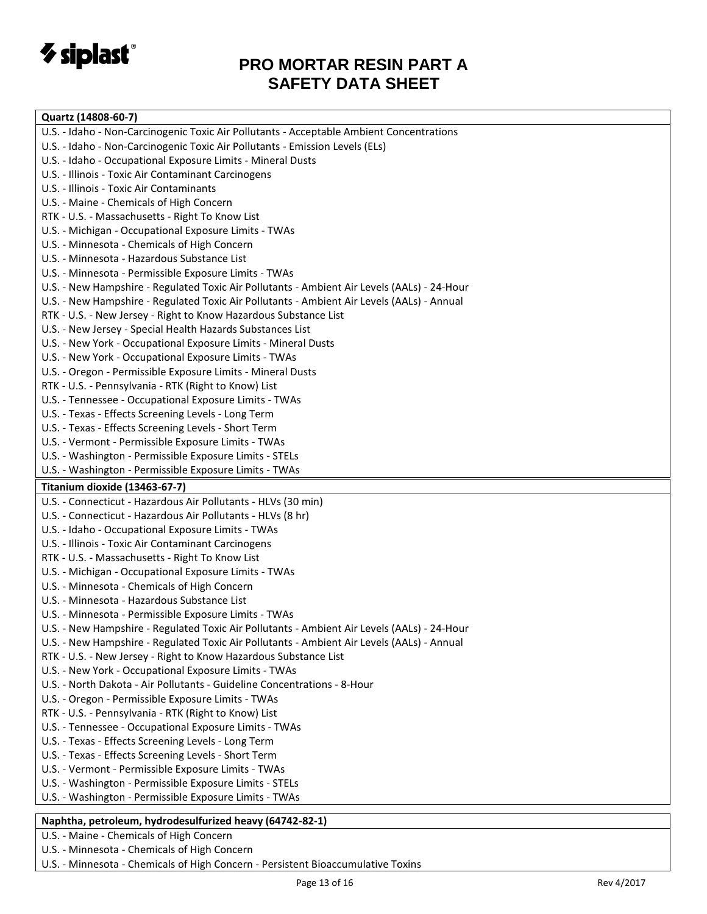

#### **Quartz (14808-60-7)** U.S. - Idaho - Non-Carcinogenic Toxic Air Pollutants - Acceptable Ambient Concentrations U.S. - Idaho - Non-Carcinogenic Toxic Air Pollutants - Emission Levels (ELs) U.S. - Idaho - Occupational Exposure Limits - Mineral Dusts U.S. - Illinois - Toxic Air Contaminant Carcinogens U.S. - Illinois - Toxic Air Contaminants U.S. - Maine - Chemicals of High Concern RTK - U.S. - Massachusetts - Right To Know List U.S. - Michigan - Occupational Exposure Limits - TWAs U.S. - Minnesota - Chemicals of High Concern U.S. - Minnesota - Hazardous Substance List U.S. - Minnesota - Permissible Exposure Limits - TWAs U.S. - New Hampshire - Regulated Toxic Air Pollutants - Ambient Air Levels (AALs) - 24-Hour U.S. - New Hampshire - Regulated Toxic Air Pollutants - Ambient Air Levels (AALs) - Annual RTK - U.S. - New Jersey - Right to Know Hazardous Substance List U.S. - New Jersey - Special Health Hazards Substances List U.S. - New York - Occupational Exposure Limits - Mineral Dusts U.S. - New York - Occupational Exposure Limits - TWAs U.S. - Oregon - Permissible Exposure Limits - Mineral Dusts RTK - U.S. - Pennsylvania - RTK (Right to Know) List U.S. - Tennessee - Occupational Exposure Limits - TWAs U.S. - Texas - Effects Screening Levels - Long Term U.S. - Texas - Effects Screening Levels - Short Term U.S. - Vermont - Permissible Exposure Limits - TWAs U.S. - Washington - Permissible Exposure Limits - STELs U.S. - Washington - Permissible Exposure Limits - TWAs **Titanium dioxide (13463-67-7)** U.S. - Connecticut - Hazardous Air Pollutants - HLVs (30 min) U.S. - Connecticut - Hazardous Air Pollutants - HLVs (8 hr) U.S. - Idaho - Occupational Exposure Limits - TWAs U.S. - Illinois - Toxic Air Contaminant Carcinogens RTK - U.S. - Massachusetts - Right To Know List U.S. - Michigan - Occupational Exposure Limits - TWAs U.S. - Minnesota - Chemicals of High Concern U.S. - Minnesota - Hazardous Substance List U.S. - Minnesota - Permissible Exposure Limits - TWAs U.S. - New Hampshire - Regulated Toxic Air Pollutants - Ambient Air Levels (AALs) - 24-Hour U.S. - New Hampshire - Regulated Toxic Air Pollutants - Ambient Air Levels (AALs) - Annual RTK - U.S. - New Jersey - Right to Know Hazardous Substance List U.S. - New York - Occupational Exposure Limits - TWAs U.S. - North Dakota - Air Pollutants - Guideline Concentrations - 8-Hour U.S. - Oregon - Permissible Exposure Limits - TWAs RTK - U.S. - Pennsylvania - RTK (Right to Know) List U.S. - Tennessee - Occupational Exposure Limits - TWAs U.S. - Texas - Effects Screening Levels - Long Term U.S. - Texas - Effects Screening Levels - Short Term U.S. - Vermont - Permissible Exposure Limits - TWAs U.S. - Washington - Permissible Exposure Limits - STELs U.S. - Washington - Permissible Exposure Limits - TWAs

#### **Naphtha, petroleum, hydrodesulfurized heavy (64742-82-1)**

U.S. - Maine - Chemicals of High Concern

U.S. - Minnesota - Chemicals of High Concern

U.S. - Minnesota - Chemicals of High Concern - Persistent Bioaccumulative Toxins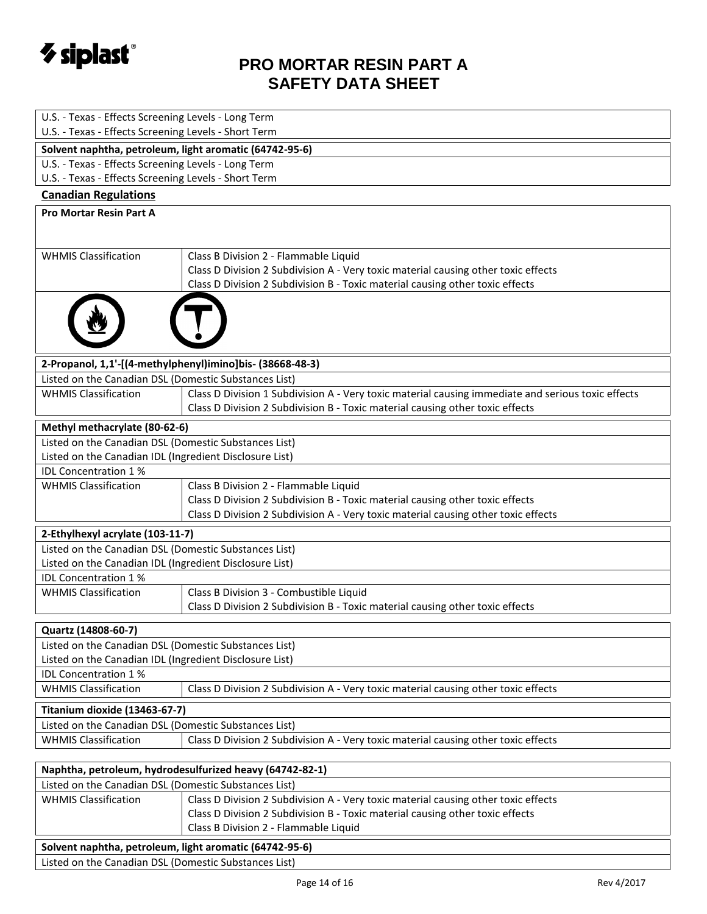

| U.S. - Texas - Effects Screening Levels - Long Term                                    |                                                                                                                                                                                     |  |
|----------------------------------------------------------------------------------------|-------------------------------------------------------------------------------------------------------------------------------------------------------------------------------------|--|
| U.S. - Texas - Effects Screening Levels - Short Term                                   |                                                                                                                                                                                     |  |
| Solvent naphtha, petroleum, light aromatic (64742-95-6)                                |                                                                                                                                                                                     |  |
| U.S. - Texas - Effects Screening Levels - Long Term                                    |                                                                                                                                                                                     |  |
| U.S. - Texas - Effects Screening Levels - Short Term                                   |                                                                                                                                                                                     |  |
| <b>Canadian Regulations</b>                                                            |                                                                                                                                                                                     |  |
| <b>Pro Mortar Resin Part A</b>                                                         |                                                                                                                                                                                     |  |
|                                                                                        |                                                                                                                                                                                     |  |
|                                                                                        |                                                                                                                                                                                     |  |
| <b>WHMIS Classification</b>                                                            | Class B Division 2 - Flammable Liquid                                                                                                                                               |  |
|                                                                                        | Class D Division 2 Subdivision A - Very toxic material causing other toxic effects                                                                                                  |  |
|                                                                                        | Class D Division 2 Subdivision B - Toxic material causing other toxic effects                                                                                                       |  |
|                                                                                        |                                                                                                                                                                                     |  |
|                                                                                        | 2-Propanol, 1,1'-[(4-methylphenyl)imino]bis- (38668-48-3)                                                                                                                           |  |
| Listed on the Canadian DSL (Domestic Substances List)                                  |                                                                                                                                                                                     |  |
| <b>WHMIS Classification</b>                                                            | Class D Division 1 Subdivision A - Very toxic material causing immediate and serious toxic effects<br>Class D Division 2 Subdivision B - Toxic material causing other toxic effects |  |
| Methyl methacrylate (80-62-6)                                                          |                                                                                                                                                                                     |  |
| Listed on the Canadian DSL (Domestic Substances List)                                  |                                                                                                                                                                                     |  |
| Listed on the Canadian IDL (Ingredient Disclosure List)                                |                                                                                                                                                                                     |  |
| <b>IDL Concentration 1%</b>                                                            |                                                                                                                                                                                     |  |
| <b>WHMIS Classification</b>                                                            | Class B Division 2 - Flammable Liquid                                                                                                                                               |  |
|                                                                                        | Class D Division 2 Subdivision B - Toxic material causing other toxic effects                                                                                                       |  |
|                                                                                        | Class D Division 2 Subdivision A - Very toxic material causing other toxic effects                                                                                                  |  |
| 2-Ethylhexyl acrylate (103-11-7)                                                       |                                                                                                                                                                                     |  |
| Listed on the Canadian DSL (Domestic Substances List)                                  |                                                                                                                                                                                     |  |
| Listed on the Canadian IDL (Ingredient Disclosure List)                                |                                                                                                                                                                                     |  |
| <b>IDL Concentration 1%</b>                                                            |                                                                                                                                                                                     |  |
| <b>WHMIS Classification</b>                                                            | Class B Division 3 - Combustible Liquid                                                                                                                                             |  |
|                                                                                        | Class D Division 2 Subdivision B - Toxic material causing other toxic effects                                                                                                       |  |
| Quartz (14808-60-7)                                                                    |                                                                                                                                                                                     |  |
|                                                                                        |                                                                                                                                                                                     |  |
| Listed on the Canadian DSL (Domestic Substances List)                                  |                                                                                                                                                                                     |  |
| Listed on the Canadian IDL (Ingredient Disclosure List)<br><b>IDL Concentration 1%</b> |                                                                                                                                                                                     |  |
| <b>WHMIS Classification</b>                                                            | Class D Division 2 Subdivision A - Very toxic material causing other toxic effects                                                                                                  |  |
| Titanium dioxide (13463-67-7)                                                          |                                                                                                                                                                                     |  |
| Listed on the Canadian DSL (Domestic Substances List)                                  |                                                                                                                                                                                     |  |
| <b>WHMIS Classification</b>                                                            | Class D Division 2 Subdivision A - Very toxic material causing other toxic effects                                                                                                  |  |
|                                                                                        |                                                                                                                                                                                     |  |
|                                                                                        | Naphtha, petroleum, hydrodesulfurized heavy (64742-82-1)                                                                                                                            |  |
| Listed on the Canadian DSL (Domestic Substances List)                                  |                                                                                                                                                                                     |  |
| <b>WHMIS Classification</b>                                                            | Class D Division 2 Subdivision A - Very toxic material causing other toxic effects                                                                                                  |  |
|                                                                                        | Class D Division 2 Subdivision B - Toxic material causing other toxic effects                                                                                                       |  |
|                                                                                        | Class B Division 2 - Flammable Liquid                                                                                                                                               |  |
| Solvent naphtha, petroleum, light aromatic (64742-95-6)                                |                                                                                                                                                                                     |  |
| Listed on the Canadian DSL (Domestic Substances List)                                  |                                                                                                                                                                                     |  |
|                                                                                        |                                                                                                                                                                                     |  |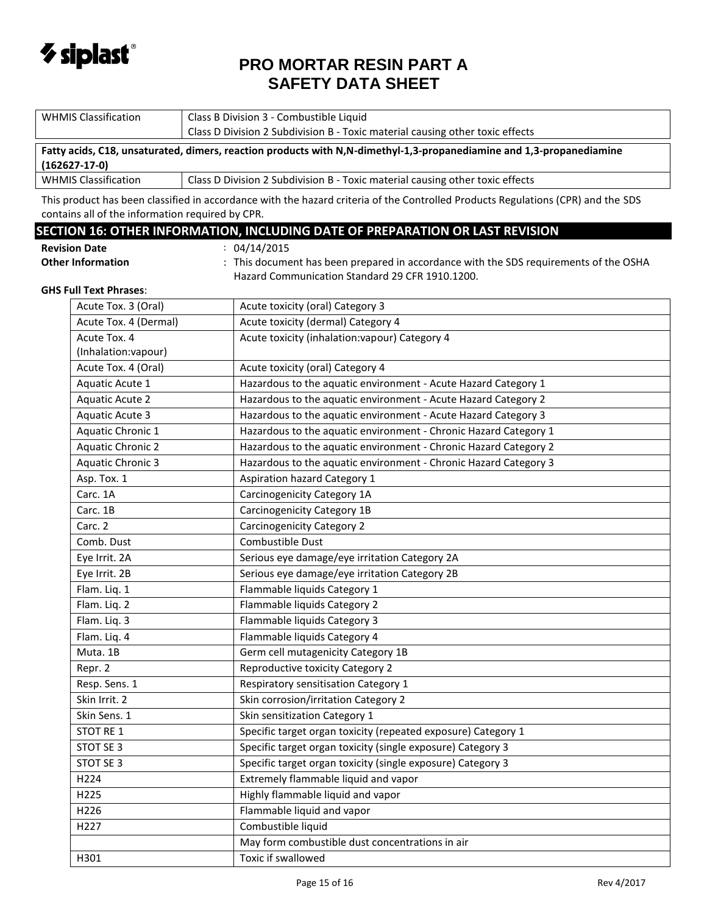

|                                                 | <b>WHMIS Classification</b>                                                                                                                 |  | Class B Division 3 - Combustible Liquid                                                                                          |  |
|-------------------------------------------------|---------------------------------------------------------------------------------------------------------------------------------------------|--|----------------------------------------------------------------------------------------------------------------------------------|--|
|                                                 |                                                                                                                                             |  | Class D Division 2 Subdivision B - Toxic material causing other toxic effects                                                    |  |
|                                                 | Fatty acids, C18, unsaturated, dimers, reaction products with N,N-dimethyl-1,3-propanediamine and 1,3-propanediamine<br>$(162627 - 17 - 0)$ |  |                                                                                                                                  |  |
|                                                 | <b>WHMIS Classification</b><br>Class D Division 2 Subdivision B - Toxic material causing other toxic effects                                |  |                                                                                                                                  |  |
|                                                 |                                                                                                                                             |  | This product has been classified in accordance with the hazard criteria of the Controlled Products Regulations (CPR) and the SDS |  |
|                                                 | contains all of the information required by CPR.                                                                                            |  |                                                                                                                                  |  |
|                                                 |                                                                                                                                             |  | SECTION 16: OTHER INFORMATION, INCLUDING DATE OF PREPARATION OR LAST REVISION                                                    |  |
|                                                 | <b>Revision Date</b>                                                                                                                        |  | : 04/14/2015                                                                                                                     |  |
|                                                 | <b>Other Information</b>                                                                                                                    |  | : This document has been prepared in accordance with the SDS requirements of the OSHA                                            |  |
| Hazard Communication Standard 29 CFR 1910.1200. |                                                                                                                                             |  |                                                                                                                                  |  |
|                                                 | <b>GHS Full Text Phrases:</b>                                                                                                               |  |                                                                                                                                  |  |
|                                                 | Acute Tox. 3 (Oral)                                                                                                                         |  | Acute toxicity (oral) Category 3                                                                                                 |  |
|                                                 | Acute Tox. 4 (Dermal)                                                                                                                       |  | Acute toxicity (dermal) Category 4                                                                                               |  |
|                                                 | Acute Tox. 4                                                                                                                                |  | Acute toxicity (inhalation: vapour) Category 4                                                                                   |  |
|                                                 | (Inhalation:vapour)                                                                                                                         |  |                                                                                                                                  |  |
|                                                 | Acute Tox. 4 (Oral)                                                                                                                         |  | Acute toxicity (oral) Category 4                                                                                                 |  |
|                                                 | Aquatic Acute 1                                                                                                                             |  | Hazardous to the aquatic environment - Acute Hazard Category 1                                                                   |  |
|                                                 | <b>Aquatic Acute 2</b>                                                                                                                      |  | Hazardous to the aquatic environment - Acute Hazard Category 2                                                                   |  |
|                                                 | Aquatic Acute 3                                                                                                                             |  | Hazardous to the aquatic environment - Acute Hazard Category 3                                                                   |  |
|                                                 | Aquatic Chronic 1                                                                                                                           |  | Hazardous to the aquatic environment - Chronic Hazard Category 1                                                                 |  |
|                                                 | <b>Aquatic Chronic 2</b>                                                                                                                    |  | Hazardous to the aquatic environment - Chronic Hazard Category 2                                                                 |  |
|                                                 | <b>Aquatic Chronic 3</b>                                                                                                                    |  | Hazardous to the aquatic environment - Chronic Hazard Category 3                                                                 |  |
|                                                 | Asp. Tox. 1                                                                                                                                 |  | Aspiration hazard Category 1                                                                                                     |  |
|                                                 | Carc. 1A                                                                                                                                    |  | Carcinogenicity Category 1A                                                                                                      |  |
|                                                 | Carc. 1B                                                                                                                                    |  | Carcinogenicity Category 1B                                                                                                      |  |
|                                                 | Carc. 2                                                                                                                                     |  | <b>Carcinogenicity Category 2</b>                                                                                                |  |
|                                                 | Comb. Dust                                                                                                                                  |  | Combustible Dust                                                                                                                 |  |
|                                                 | Eye Irrit. 2A                                                                                                                               |  | Serious eye damage/eye irritation Category 2A                                                                                    |  |
|                                                 | Eye Irrit. 2B                                                                                                                               |  | Serious eye damage/eye irritation Category 2B                                                                                    |  |
|                                                 | Flam. Liq. 1                                                                                                                                |  | Flammable liquids Category 1                                                                                                     |  |
|                                                 | Flam. Liq. 2                                                                                                                                |  | Flammable liquids Category 2                                                                                                     |  |
|                                                 | Flam. Lig. 3                                                                                                                                |  | Flammable liquids Category 3                                                                                                     |  |
|                                                 | Flam. Liq. 4                                                                                                                                |  | Flammable liquids Category 4                                                                                                     |  |
|                                                 | Muta. 1B                                                                                                                                    |  | Germ cell mutagenicity Category 1B                                                                                               |  |
|                                                 | Repr. 2                                                                                                                                     |  | Reproductive toxicity Category 2                                                                                                 |  |
|                                                 | Resp. Sens. 1                                                                                                                               |  | Respiratory sensitisation Category 1                                                                                             |  |
|                                                 | Skin Irrit. 2                                                                                                                               |  | Skin corrosion/irritation Category 2                                                                                             |  |
|                                                 | Skin Sens. 1                                                                                                                                |  | Skin sensitization Category 1                                                                                                    |  |
|                                                 | STOT RE 1                                                                                                                                   |  | Specific target organ toxicity (repeated exposure) Category 1                                                                    |  |
|                                                 | STOT SE 3                                                                                                                                   |  | Specific target organ toxicity (single exposure) Category 3                                                                      |  |
|                                                 | STOT SE 3                                                                                                                                   |  | Specific target organ toxicity (single exposure) Category 3                                                                      |  |
|                                                 | H224                                                                                                                                        |  | Extremely flammable liquid and vapor                                                                                             |  |
|                                                 | H225                                                                                                                                        |  | Highly flammable liquid and vapor                                                                                                |  |
|                                                 | H226                                                                                                                                        |  | Flammable liquid and vapor                                                                                                       |  |
|                                                 | H227                                                                                                                                        |  | Combustible liquid                                                                                                               |  |
|                                                 |                                                                                                                                             |  | May form combustible dust concentrations in air                                                                                  |  |
|                                                 | H301                                                                                                                                        |  | Toxic if swallowed                                                                                                               |  |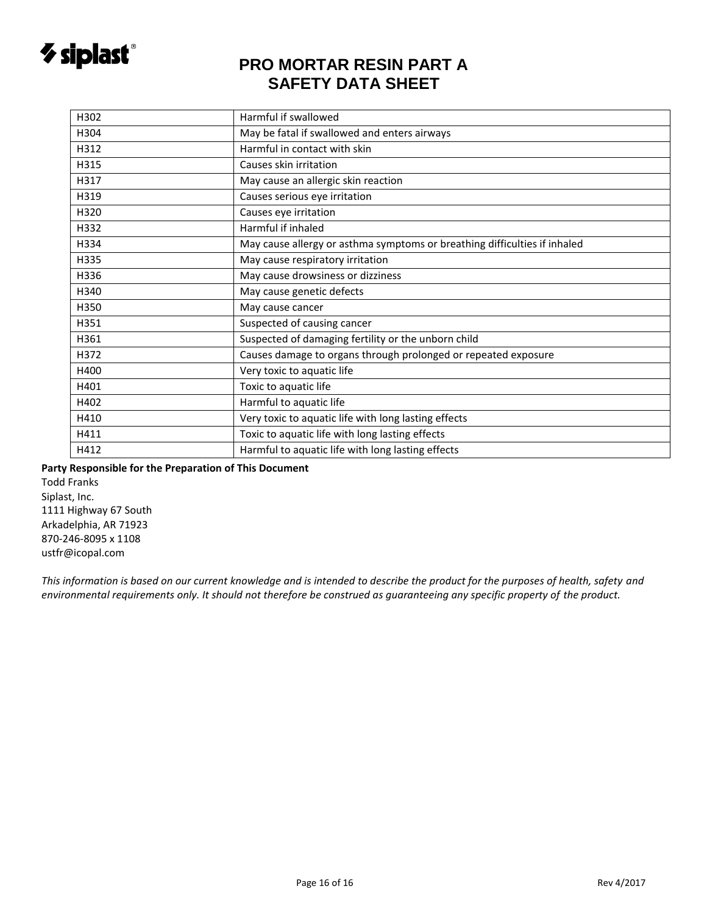

| H302             | Harmful if swallowed                                                      |
|------------------|---------------------------------------------------------------------------|
| H <sub>304</sub> | May be fatal if swallowed and enters airways                              |
| H312             | Harmful in contact with skin                                              |
| H315             | Causes skin irritation                                                    |
| H317             | May cause an allergic skin reaction                                       |
| H319             | Causes serious eye irritation                                             |
| H320             | Causes eye irritation                                                     |
| H332             | Harmful if inhaled                                                        |
| H334             | May cause allergy or asthma symptoms or breathing difficulties if inhaled |
| H335             | May cause respiratory irritation                                          |
| H336             | May cause drowsiness or dizziness                                         |
| H340             | May cause genetic defects                                                 |
| H350             | May cause cancer                                                          |
| H351             | Suspected of causing cancer                                               |
| H361             | Suspected of damaging fertility or the unborn child                       |
| H372             | Causes damage to organs through prolonged or repeated exposure            |
| H400             | Very toxic to aquatic life                                                |
| H401             | Toxic to aquatic life                                                     |
| H402             | Harmful to aquatic life                                                   |
| H410             | Very toxic to aquatic life with long lasting effects                      |
| H411             | Toxic to aquatic life with long lasting effects                           |
| H412             | Harmful to aquatic life with long lasting effects                         |
|                  |                                                                           |

**Party Responsible for the Preparation of This Document** 

Todd Franks Siplast, Inc. 1111 Highway 67 South Arkadelphia, AR 71923 870-246-8095 x 1108 ustfr@icopal.com

*This information is based on our current knowledge and is intended to describe the product for the purposes of health, safety and environmental requirements only. It should not therefore be construed as guaranteeing any specific property of the product.*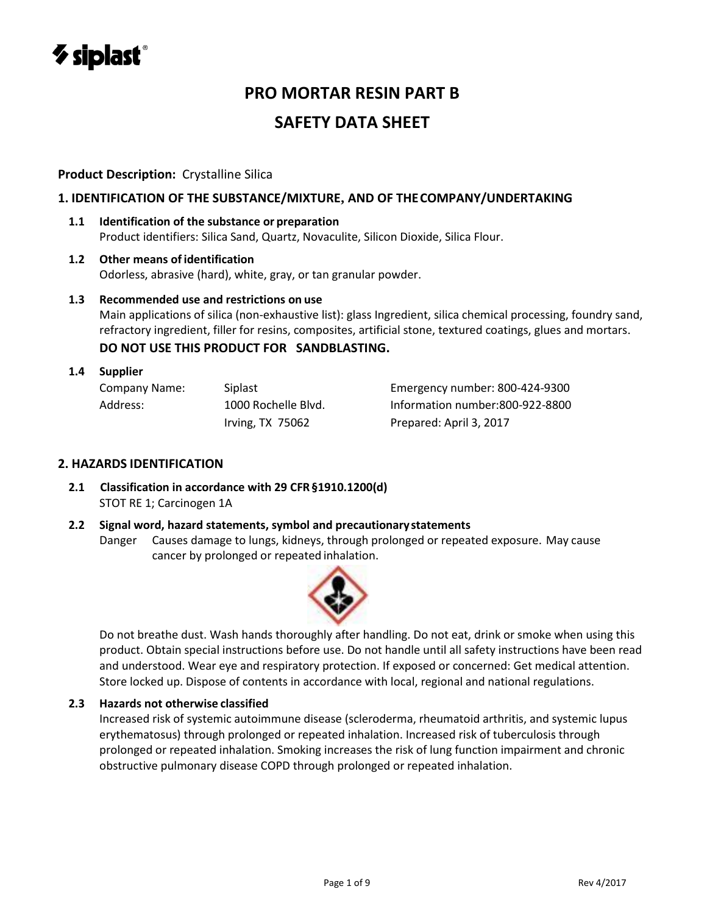

#### **Product Description:** Crystalline Silica

#### **1. IDENTIFICATION OF THE SUBSTANCE/MIXTURE, AND OF THECOMPANY/UNDERTAKING**

**1.1 Identification of the substance or preparation** Product identifiers: Silica Sand, Quartz, Novaculite, Silicon Dioxide, Silica Flour.

#### **1.2 Other means of identification** Odorless, abrasive (hard), white, gray, or tan granular powder.

#### **1.3 Recommended use and restrictions on use**

Main applications of silica (non-exhaustive list): glass Ingredient, silica chemical processing, foundry sand, refractory ingredient, filler for resins, composites, artificial stone, textured coatings, glues and mortars.

#### **DO NOT USE THIS PRODUCT FOR SANDBLASTING.**

#### **1.4 Supplier**

| Company Name: | Siplast             | Emergency number: 800-424-9300  |
|---------------|---------------------|---------------------------------|
| Address:      | 1000 Rochelle Blvd. | Information number:800-922-8800 |
|               | Irving, $TX$ 75062  | Prepared: April 3, 2017         |

#### **2. HAZARDS IDENTIFICATION**

- **2.1 Classification in accordance with 29 CFR§1910.1200(d)** STOT RE 1; Carcinogen 1A
- **2.2 Signal word, hazard statements, symbol and precautionary statements** Danger Causes damage to lungs, kidneys, through prolonged or repeated exposure. May cause cancer by prolonged or repeated inhalation.



Do not breathe dust. Wash hands thoroughly after handling. Do not eat, drink or smoke when using this product. Obtain special instructions before use. Do not handle until all safety instructions have been read and understood. Wear eye and respiratory protection. If exposed or concerned: Get medical attention. Store locked up. Dispose of contents in accordance with local, regional and national regulations.

#### **2.3 Hazards not otherwise classified**

Increased risk of systemic autoimmune disease (scleroderma, rheumatoid arthritis, and systemic lupus erythematosus) through prolonged or repeated inhalation. Increased risk of tuberculosis through prolonged or repeated inhalation. Smoking increases the risk of lung function impairment and chronic obstructive pulmonary disease COPD through prolonged or repeated inhalation.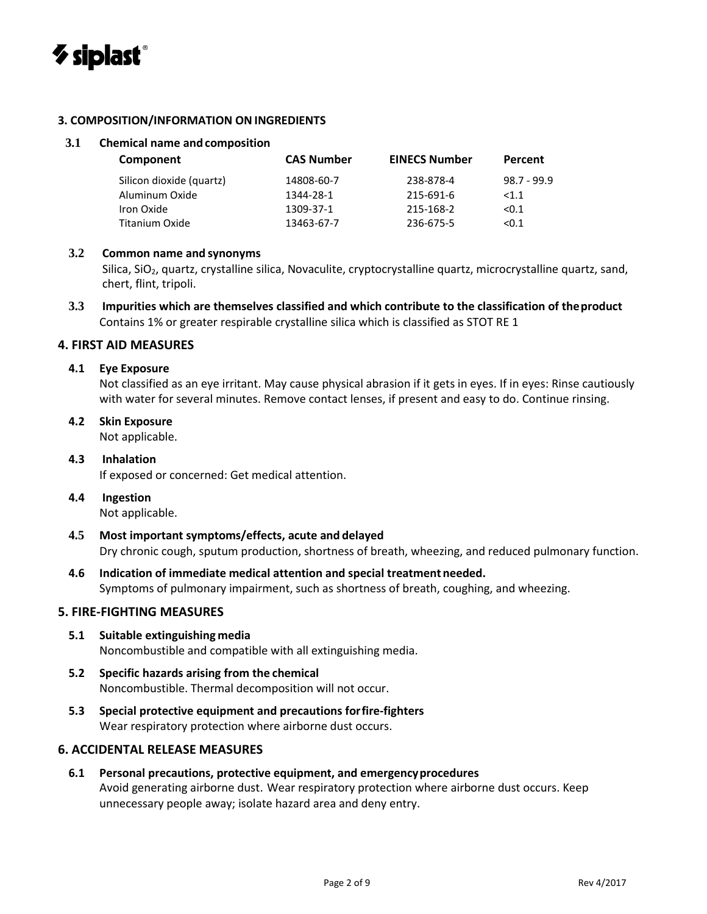

#### **3. COMPOSITION/INFORMATION ON INGREDIENTS**

#### **3.1 Chemical name and composition**

| Component                | <b>CAS Number</b> | <b>EINECS Number</b> | Percent       |
|--------------------------|-------------------|----------------------|---------------|
| Silicon dioxide (quartz) | 14808-60-7        | 238-878-4            | $98.7 - 99.9$ |
| Aluminum Oxide           | 1344-28-1         | 215-691-6            | <1.1          |
| Iron Oxide               | 1309-37-1         | 215-168-2            | < 0.1         |
| <b>Titanium Oxide</b>    | 13463-67-7        | 236-675-5            | < 0.1         |
|                          |                   |                      |               |

#### **3.2 Common name and synonyms**

Silica, SiO<sub>2</sub>, quartz, crystalline silica, Novaculite, cryptocrystalline quartz, microcrystalline quartz, sand, chert, flint, tripoli.

**3.3 Impurities which are themselves classified and which contribute to the classification of theproduct** Contains 1% or greater respirable crystalline silica which is classified as STOT RE 1

#### **4. FIRST AID MEASURES**

#### **4.1 Eye Exposure**

Not classified as an eye irritant. May cause physical abrasion if it gets in eyes. If in eyes: Rinse cautiously with water for several minutes. Remove contact lenses, if present and easy to do. Continue rinsing.

# **4.2 Skin Exposure**

Not applicable.

#### **4.3 Inhalation** If exposed or concerned: Get medical attention.

#### **4.4 Ingestion**

Not applicable.

- **4.5 Most important symptoms/effects, acute and delayed** Dry chronic cough, sputum production, shortness of breath, wheezing, and reduced pulmonary function.
- **4.6 Indication of immediate medical attention and special treatment needed.** Symptoms of pulmonary impairment, such as shortness of breath, coughing, and wheezing.

#### **5. FIRE-FIGHTING MEASURES**

#### **5.1 Suitable extinguishing media** Noncombustible and compatible with all extinguishing media.

- **5.2 Specific hazards arising from the chemical** Noncombustible. Thermal decomposition will not occur.
- **5.3 Special protective equipment and precautions forfire-fighters** Wear respiratory protection where airborne dust occurs.

#### **6. ACCIDENTAL RELEASE MEASURES**

**6.1 Personal precautions, protective equipment, and emergencyprocedures** Avoid generating airborne dust. Wear respiratory protection where airborne dust occurs. Keep unnecessary people away; isolate hazard area and deny entry.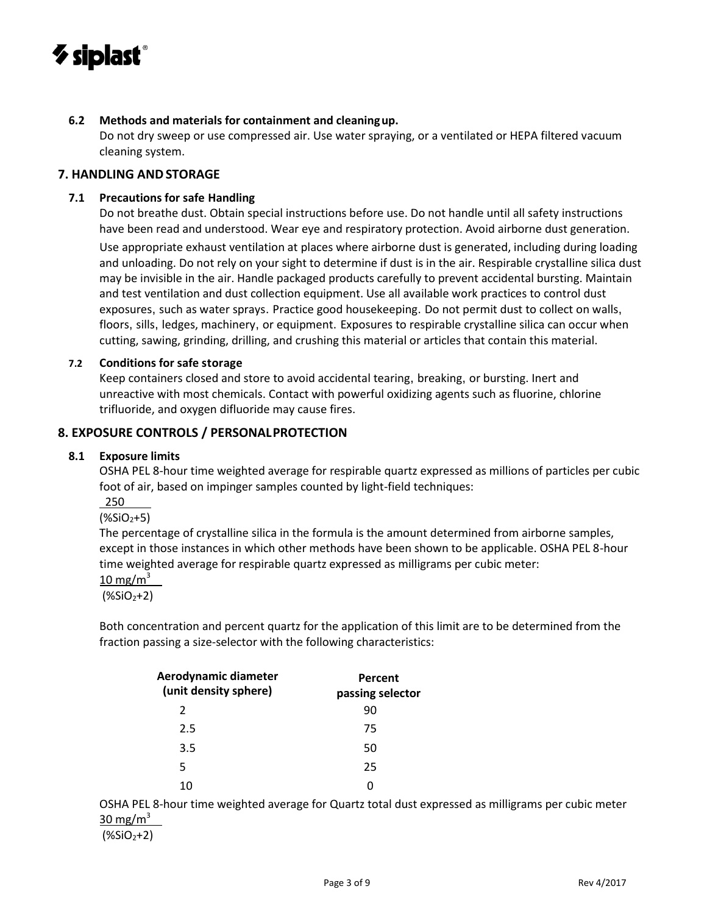

#### **6.2 Methods and materials for containment and cleaningup.**

Do not dry sweep or use compressed air. Use water spraying, or a ventilated or HEPA filtered vacuum cleaning system.

#### **7. HANDLING ANDSTORAGE**

#### **7.1 Precautions for safe Handling**

Do not breathe dust. Obtain special instructions before use. Do not handle until all safety instructions have been read and understood. Wear eye and respiratory protection. Avoid airborne dust generation.

Use appropriate exhaust ventilation at places where airborne dust is generated, including during loading and unloading. Do not rely on your sight to determine if dust is in the air. Respirable crystalline silica dust may be invisible in the air. Handle packaged products carefully to prevent accidental bursting. Maintain and test ventilation and dust collection equipment. Use all available work practices to control dust exposures, such as water sprays. Practice good housekeeping. Do not permit dust to collect on walls, floors, sills, ledges, machinery, or equipment. Exposures to respirable crystalline silica can occur when cutting, sawing, grinding, drilling, and crushing this material or articles that contain this material.

#### **7.2 Conditions for safe storage**

Keep containers closed and store to avoid accidental tearing, breaking, or bursting. Inert and unreactive with most chemicals. Contact with powerful oxidizing agents such as fluorine, chlorine trifluoride, and oxygen difluoride may cause fires.

#### **8. EXPOSURE CONTROLS / PERSONALPROTECTION**

#### **8.1 Exposure limits**

OSHA PEL 8-hour time weighted average for respirable quartz expressed as millions of particles per cubic foot of air, based on impinger samples counted by light-field techniques:

250

#### $($ %SiO<sub>2</sub>+5)

The percentage of crystalline silica in the formula is the amount determined from airborne samples, except in those instances in which other methods have been shown to be applicable. OSHA PEL 8-hour time weighted average for respirable quartz expressed as milligrams per cubic meter:

10 mg/m $3$ 

 $($ %SiO<sub>2</sub>+2)

Both concentration and percent quartz for the application of this limit are to be determined from the fraction passing a size-selector with the following characteristics:

| Aerodynamic diameter<br>(unit density sphere) | Percent<br>passing selector |  |
|-----------------------------------------------|-----------------------------|--|
| 2                                             | 90                          |  |
| 2.5                                           | 75                          |  |
| 3.5                                           | 50                          |  |
| 5                                             | 25                          |  |
| 10                                            |                             |  |

OSHA PEL 8-hour time weighted average for Quartz total dust expressed as milligrams per cubic meter 30 mg/m $3$ 

 $($ %SiO<sub>2</sub>+2)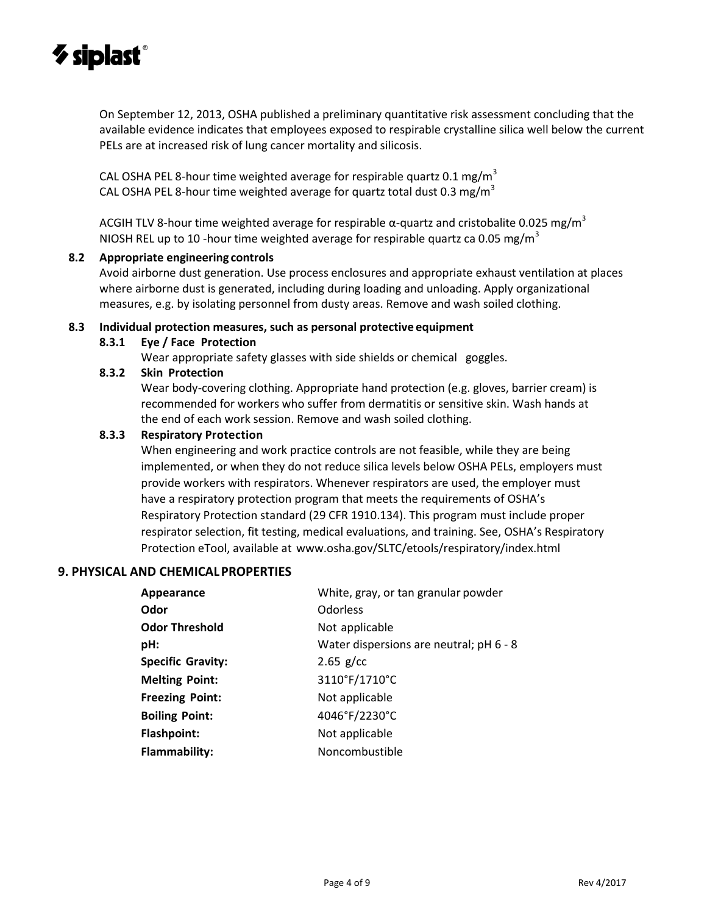

On September 12, 2013, OSHA published a preliminary quantitative risk assessment concluding that the available evidence indicates that employees exposed to respirable crystalline silica well below the current PELs are at increased risk of lung cancer mortality and silicosis.

CAL OSHA PEL 8-hour time weighted average for respirable quartz 0.1 mg/m<sup>3</sup> CAL OSHA PEL 8-hour time weighted average for quartz total dust 0.3 mg/m<sup>3</sup>

ACGIH TLV 8-hour time weighted average for respirable  $\alpha$ -quartz and cristobalite 0.025 mg/m<sup>3</sup> NIOSH REL up to 10 -hour time weighted average for respirable quartz ca 0.05 mg/m<sup>3</sup>

#### **8.2 Appropriate engineering controls**

Avoid airborne dust generation. Use process enclosures and appropriate exhaust ventilation at places where airborne dust is generated, including during loading and unloading. Apply organizational measures, e.g. by isolating personnel from dusty areas. Remove and wash soiled clothing.

#### **8.3 Individual protection measures, such as personal protective equipment**

**8.3.1 Eye / Face Protection**

Wear appropriate safety glasses with side shields or chemical goggles.

#### **8.3.2 Skin Protection**

Wear body-covering clothing. Appropriate hand protection (e.g. gloves, barrier cream) is recommended for workers who suffer from dermatitis or sensitive skin. Wash hands at the end of each work session. Remove and wash soiled clothing.

#### **8.3.3 Respiratory Protection**

When engineering and work practice controls are not feasible, while they are being implemented, or when they do not reduce silica levels below OSHA PELs, employers must provide workers with respirators. Whenever respirators are used, the employer must have a respiratory protection program that meets the requirements of OSHA's Respiratory Protection standard (29 CFR 1910.134). This program must include proper respirator selection, fit testing, medical evaluations, and training. See, OSHA's Respiratory Protection eTool, available at [www.osha.gov/SLTC/etools/respiratory/index.html](http://www.osha.gov/SLTC/etools/respiratory/index.html)

#### **9. PHYSICAL AND CHEMICALPROPERTIES**

| Appearance               | White, gray, or tan granular powder     |
|--------------------------|-----------------------------------------|
| Odor                     | <b>Odorless</b>                         |
| <b>Odor Threshold</b>    | Not applicable                          |
| pH:                      | Water dispersions are neutral; pH 6 - 8 |
| <b>Specific Gravity:</b> | $2.65$ g/cc                             |
| <b>Melting Point:</b>    | 3110°F/1710°C                           |
| <b>Freezing Point:</b>   | Not applicable                          |
| <b>Boiling Point:</b>    | 4046°F/2230°C                           |
| <b>Flashpoint:</b>       | Not applicable                          |
| <b>Flammability:</b>     | Noncombustible                          |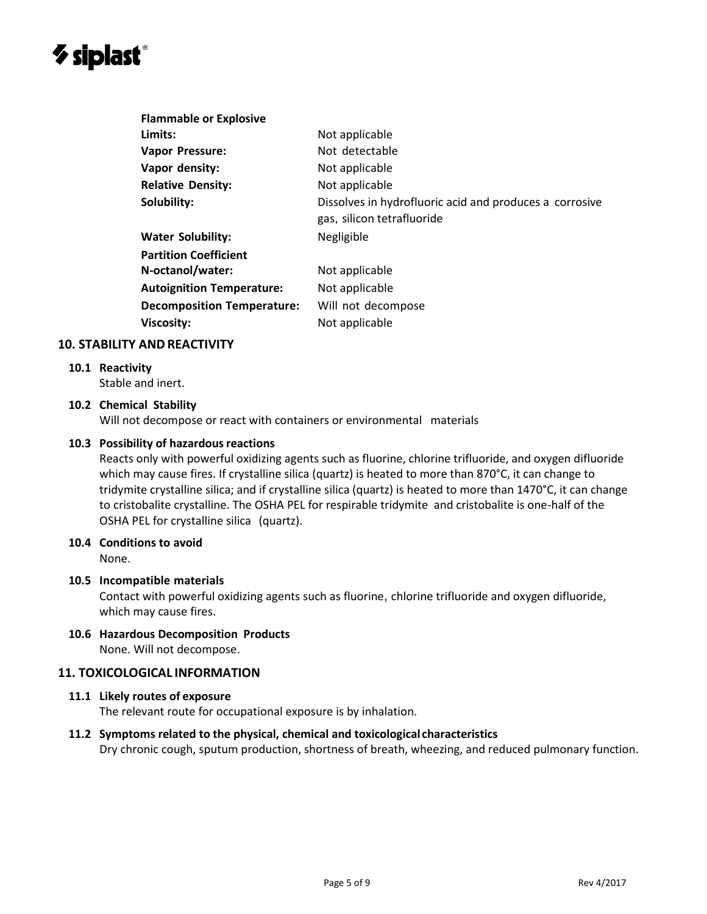# $\boldsymbol{\diamond}$  siplast $^\circ$

| <b>Flammable or Explosive</b>     |                                                                                       |
|-----------------------------------|---------------------------------------------------------------------------------------|
| Limits:                           | Not applicable                                                                        |
| <b>Vapor Pressure:</b>            | Not detectable                                                                        |
| Vapor density:                    | Not applicable                                                                        |
| <b>Relative Density:</b>          | Not applicable                                                                        |
| Solubility:                       | Dissolves in hydrofluoric acid and produces a corrosive<br>gas, silicon tetrafluoride |
| <b>Water Solubility:</b>          | Negligible                                                                            |
| <b>Partition Coefficient</b>      |                                                                                       |
| N-octanol/water:                  | Not applicable                                                                        |
| <b>Autoignition Temperature:</b>  | Not applicable                                                                        |
| <b>Decomposition Temperature:</b> | Will not decompose                                                                    |
| <b>Viscosity:</b>                 | Not applicable                                                                        |

#### **10. STABILITY AND REACTIVITY**

#### **10.1 Reactivity**

Stable and inert.

#### **10.2 Chemical Stability**

Will not decompose or react with containers or environmental materials

#### **10.3 Possibility of hazardous reactions**

Reacts only with powerful oxidizing agents such as fluorine, chlorine trifluoride, and oxygen difluoride which may cause fires. If crystalline silica (quartz) is heated to more than 870°C, it can change to tridymite crystalline silica; and if crystalline silica (quartz) is heated to more than 1470°C, it can change to cristobalite crystalline. The OSHA PEL for respirable tridymite and cristobalite is one-half of the OSHA PEL for crystalline silica (quartz).

#### **10.4 Conditions to avoid**

None.

#### **10.5 Incompatible materials**

Contact with powerful oxidizing agents such as fluorine, chlorine trifluoride and oxygen difluoride, which may cause fires.

**10.6 Hazardous Decomposition Products** None. Will not decompose.

#### **11. TOXICOLOGICAL INFORMATION**

#### **11.1 Likely routes of exposure**

The relevant route for occupational exposure is by inhalation.

#### **11.2 Symptoms related to the physical, chemical and toxicological characteristics**

Dry chronic cough, sputum production, shortness of breath, wheezing, and reduced pulmonary function.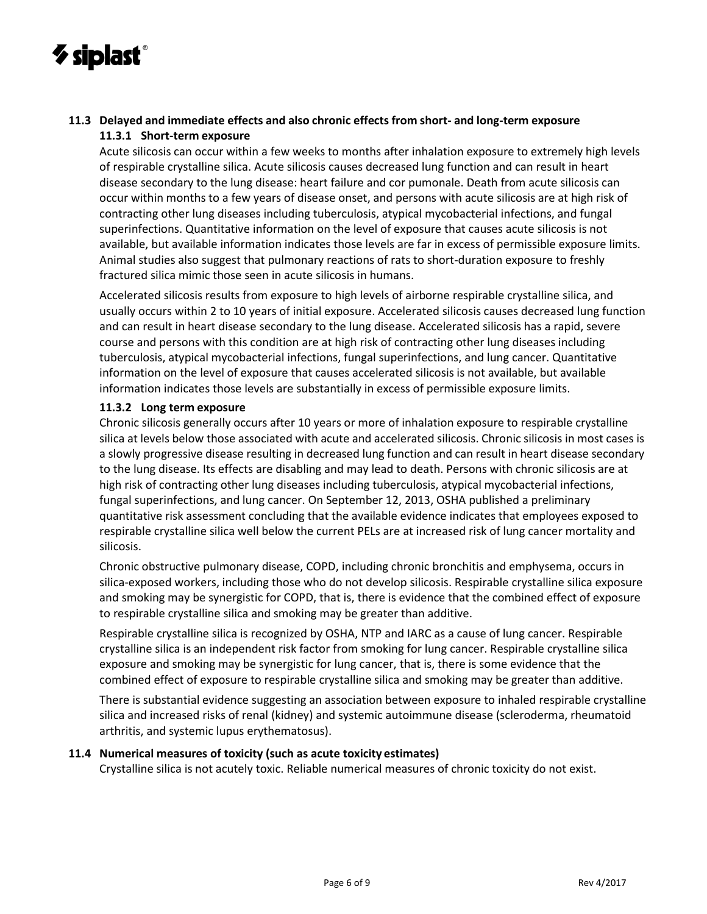

#### **11.3 Delayed and immediate effects and also chronic effects from short- and long-term exposure 11.3.1 Short-term exposure**

Acute silicosis can occur within a few weeks to months after inhalation exposure to extremely high levels of respirable crystalline silica. Acute silicosis causes decreased lung function and can result in heart disease secondary to the lung disease: heart failure and cor pumonale. Death from acute silicosis can occur within months to a few years of disease onset, and persons with acute silicosis are at high risk of contracting other lung diseases including tuberculosis, atypical mycobacterial infections, and fungal superinfections. Quantitative information on the level of exposure that causes acute silicosis is not available, but available information indicates those levels are far in excess of permissible exposure limits. Animal studies also suggest that pulmonary reactions of rats to short-duration exposure to freshly fractured silica mimic those seen in acute silicosis in humans.

Accelerated silicosis results from exposure to high levels of airborne respirable crystalline silica, and usually occurs within 2 to 10 years of initial exposure. Accelerated silicosis causes decreased lung function and can result in heart disease secondary to the lung disease. Accelerated silicosis has a rapid, severe course and persons with this condition are at high risk of contracting other lung diseases including tuberculosis, atypical mycobacterial infections, fungal superinfections, and lung cancer. Quantitative information on the level of exposure that causes accelerated silicosis is not available, but available information indicates those levels are substantially in excess of permissible exposure limits.

#### **11.3.2 Long term exposure**

Chronic silicosis generally occurs after 10 years or more of inhalation exposure to respirable crystalline silica at levels below those associated with acute and accelerated silicosis. Chronic silicosis in most cases is a slowly progressive disease resulting in decreased lung function and can result in heart disease secondary to the lung disease. Its effects are disabling and may lead to death. Persons with chronic silicosis are at high risk of contracting other lung diseases including tuberculosis, atypical mycobacterial infections, fungal superinfections, and lung cancer. On September 12, 2013, OSHA published a preliminary quantitative risk assessment concluding that the available evidence indicates that employees exposed to respirable crystalline silica well below the current PELs are at increased risk of lung cancer mortality and silicosis.

Chronic obstructive pulmonary disease, COPD, including chronic bronchitis and emphysema, occurs in silica-exposed workers, including those who do not develop silicosis. Respirable crystalline silica exposure and smoking may be synergistic for COPD, that is, there is evidence that the combined effect of exposure to respirable crystalline silica and smoking may be greater than additive.

Respirable crystalline silica is recognized by OSHA, NTP and IARC as a cause of lung cancer. Respirable crystalline silica is an independent risk factor from smoking for lung cancer. Respirable crystalline silica exposure and smoking may be synergistic for lung cancer, that is, there is some evidence that the combined effect of exposure to respirable crystalline silica and smoking may be greater than additive.

There is substantial evidence suggesting an association between exposure to inhaled respirable crystalline silica and increased risks of renal (kidney) and systemic autoimmune disease (scleroderma, rheumatoid arthritis, and systemic lupus erythematosus).

#### **11.4 Numerical measures of toxicity (such as acute toxicity estimates)**

Crystalline silica is not acutely toxic. Reliable numerical measures of chronic toxicity do not exist.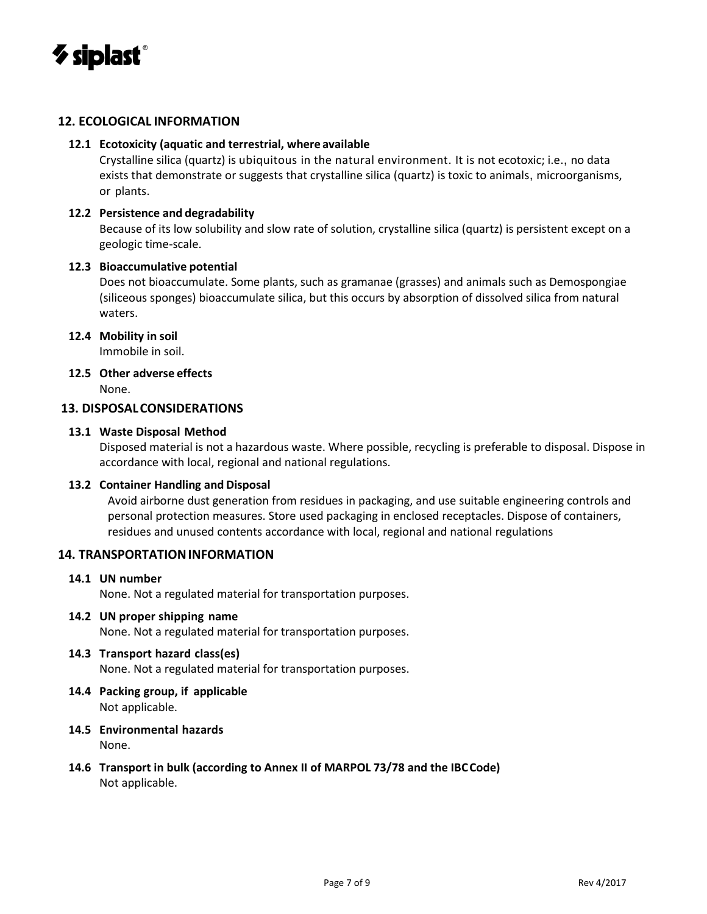

#### **12. ECOLOGICAL INFORMATION**

#### **12.1 Ecotoxicity (aquatic and terrestrial, where available**

Crystalline silica (quartz) is ubiquitous in the natural environment. It is not ecotoxic; i.e., no data exists that demonstrate or suggests that crystalline silica (quartz) is toxic to animals, microorganisms, or plants.

#### **12.2 Persistence and degradability**

Because of its low solubility and slow rate of solution, crystalline silica (quartz) is persistent except on a geologic time-scale.

#### **12.3 Bioaccumulative potential**

Does not bioaccumulate. Some plants, such as gramanae (grasses) and animals such as Demospongiae (siliceous sponges) bioaccumulate silica, but this occurs by absorption of dissolved silica from natural waters.

#### **12.4 Mobility in soil**

Immobile in soil.

### **12.5 Other adverse effects**

None.

#### **13. DISPOSALCONSIDERATIONS**

#### **13.1 Waste Disposal Method**

Disposed material is not a hazardous waste. Where possible, recycling is preferable to disposal. Dispose in accordance with local, regional and national regulations.

#### **13.2 Container Handling and Disposal**

Avoid airborne dust generation from residues in packaging, and use suitable engineering controls and personal protection measures. Store used packaging in enclosed receptacles. Dispose of containers, residues and unused contents accordance with local, regional and national regulations

#### **14. TRANSPORTATIONINFORMATION**

#### **14.1 UN number**

None. Not a regulated material for transportation purposes.

#### **14.2 UN proper shipping name**

None. Not a regulated material for transportation purposes.

#### **14.3 Transport hazard class(es)**

None. Not a regulated material for transportation purposes.

- **14.4 Packing group, if applicable** Not applicable.
- **14.5 Environmental hazards** None.
- **14.6 Transport in bulk (according to Annex II of MARPOL 73/78 and the IBCCode)** Not applicable.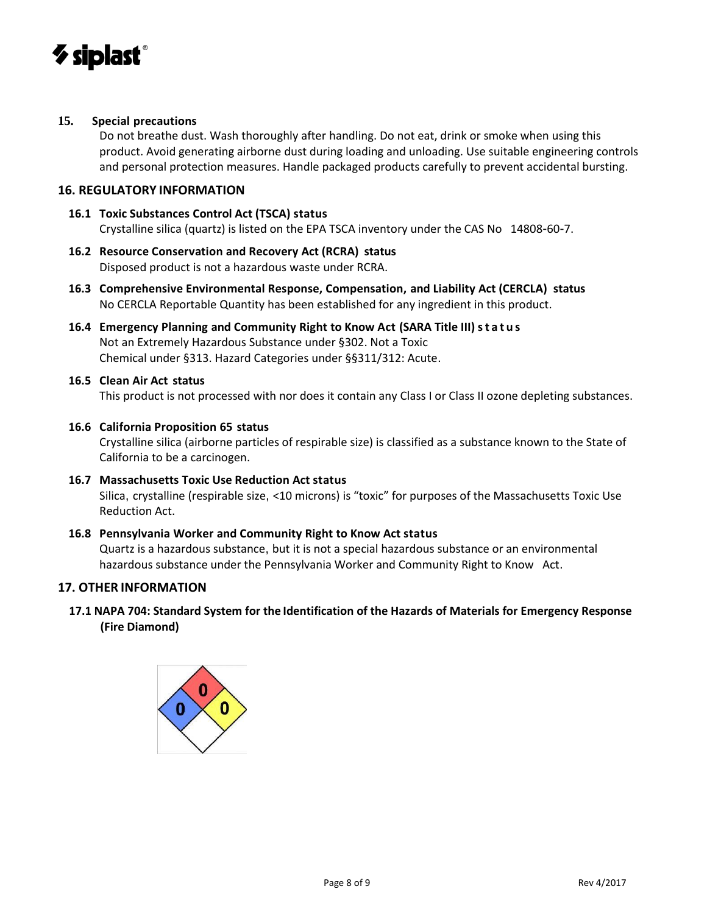

#### **15. Special precautions**

Do not breathe dust. Wash thoroughly after handling. Do not eat, drink or smoke when using this product. Avoid generating airborne dust during loading and unloading. Use suitable engineering controls and personal protection measures. Handle packaged products carefully to prevent accidental bursting.

#### **16. REGULATORY INFORMATION**

- **16.1 Toxic Substances Control Act (TSCA) status** Crystalline silica (quartz) is listed on the EPA TSCA inventory under the CAS No 14808-60-7.
- **16.2 Resource Conservation and Recovery Act (RCRA) status** Disposed product is not a hazardous waste under RCRA.
- **16.3 Comprehensive Environmental Response, Compensation, and Liability Act (CERCLA) status** No CERCLA Reportable Quantity has been established for any ingredient in this product.
- **16.4 Emergency Planning and Community Right to Know Act (SARA Title III) s t a t u s** Not an Extremely Hazardous Substance under §302. Not a Toxic Chemical under §313. Hazard Categories under §§311/312: Acute.
- **16.5 Clean Air Act status**

This product is not processed with nor does it contain any Class I or Class II ozone depleting substances.

#### **16.6 California Proposition 65 status**

Crystalline silica (airborne particles of respirable size) is classified as a substance known to the State of California to be a carcinogen.

#### **16.7 Massachusetts Toxic Use Reduction Act status**

Silica, crystalline (respirable size, <10 microns) is "toxic" for purposes of the Massachusetts Toxic Use Reduction Act.

**16.8 Pennsylvania Worker and Community Right to Know Act status** Quartz is a hazardous substance, but it is not a special hazardous substance or an environmental hazardous substance under the Pennsylvania Worker and Community Right to Know Act.

#### **17. OTHER INFORMATION**

**17.1 NAPA 704: Standard System for the Identification of the Hazards of Materials for Emergency Response (Fire Diamond)**